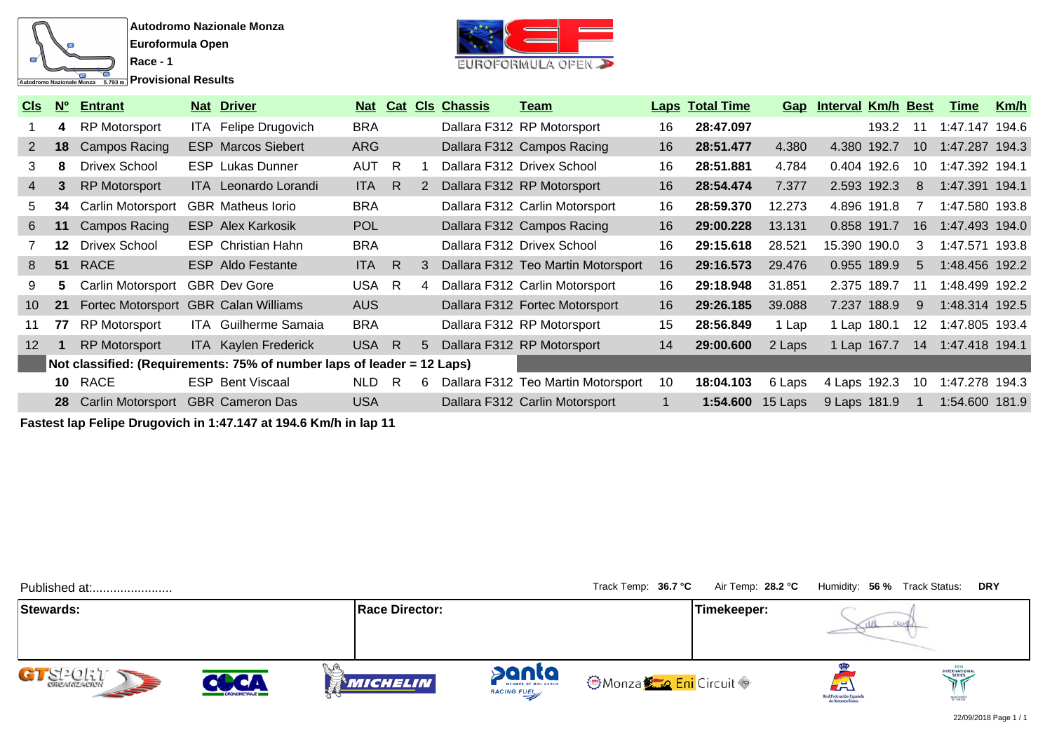

**Race - 1 Provisional Results** 



| <u>CIs</u>      | N <sub>0</sub> | <b>Entrant</b>           |            | <b>Nat Driver</b>                                                      |            |     |    | Nat Cat CIs Chassis | <u>Team</u>                        |    | <b>Laps Total Time</b> |         | <b>Gap</b> Interval Km/h Best |       |    | Time           | <u>Km/h</u> |
|-----------------|----------------|--------------------------|------------|------------------------------------------------------------------------|------------|-----|----|---------------------|------------------------------------|----|------------------------|---------|-------------------------------|-------|----|----------------|-------------|
|                 | 4              | <b>RP Motorsport</b>     |            | ITA Felipe Drugovich                                                   | <b>BRA</b> |     |    |                     | Dallara F312 RP Motorsport         | 16 | 28:47.097              |         |                               | 193.2 | 11 | 1:47.147 194.6 |             |
| $2^{\circ}$     | 18             | Campos Racing            |            | <b>ESP Marcos Siebert</b>                                              | <b>ARG</b> |     |    |                     | Dallara F312 Campos Racing         | 16 | 28:51.477              | 4.380   | 4.380 192.7                   |       | 10 | 1:47.287 194.3 |             |
| 3               | 8              | <b>Drivex School</b>     | <b>ESP</b> | Lukas Dunner                                                           | <b>AUT</b> | - R |    |                     | Dallara F312 Drivex School         | 16 | 28:51.881              | 4.784   | 0.404 192.6                   |       | 10 | 1:47.392 194.1 |             |
| 4               |                | <b>RP Motorsport</b>     |            | <b>ITA</b> Leonardo Lorandi                                            | <b>ITA</b> | R.  |    |                     | Dallara F312 RP Motorsport         | 16 | 28:54.474              | 7.377   | 2.593 192.3                   |       | 8  | 1:47.391 194.1 |             |
| 5.              | 34             | Carlin Motorsport        |            | <b>GBR</b> Matheus lorio                                               | <b>BRA</b> |     |    |                     | Dallara F312 Carlin Motorsport     | 16 | 28:59.370              | 12.273  | 4.896 191.8                   |       |    | 1:47.580 193.8 |             |
| 6               | 11             | Campos Racing            |            | <b>ESP Alex Karkosik</b>                                               | <b>POL</b> |     |    |                     | Dallara F312 Campos Racing         | 16 | 29:00.228              | 13.131  | 0.858 191.7                   |       | 16 | 1:47.493 194.0 |             |
|                 | 12             | <b>Drivex School</b>     |            | <b>ESP</b> Christian Hahn                                              | <b>BRA</b> |     |    |                     | Dallara F312 Drivex School         | 16 | 29:15.618              | 28.521  | 15.390 190.0                  |       | 3  | 1:47.571 193.8 |             |
| 8               | 51             | RACE                     |            | <b>ESP</b> Aldo Festante                                               | <b>ITA</b> | - R | 3  |                     | Dallara F312 Teo Martin Motorsport | 16 | 29:16.573              | 29.476  | 0.955 189.9                   |       | 5  | 1:48.456 192.2 |             |
| 9               | 5.             | Carlin Motorsport        |            | <b>GBR</b> Dev Gore                                                    | USA        | R   | 4  |                     | Dallara F312 Carlin Motorsport     | 16 | 29:18.948              | 31.851  | 2.375 189.7                   |       | 11 | 1:48.499 192.2 |             |
| 10 <sup>°</sup> | 21             | Fortec Motorsport        |            | <b>GBR Calan Williams</b>                                              | <b>AUS</b> |     |    |                     | Dallara F312 Fortec Motorsport     | 16 | 29:26.185              | 39.088  | 7.237 188.9                   |       | 9  | 1:48.314 192.5 |             |
| 11              | 77             | RP Motorsport            |            | <b>ITA</b> Guilherme Samaia                                            | <b>BRA</b> |     |    |                     | Dallara F312 RP Motorsport         | 15 | 28:56.849              | 1 Lap   | 1 Lap 180.1                   |       | 12 | 1:47.805 193.4 |             |
| 12 <sup>2</sup> |                | <b>RP Motorsport</b>     |            | ITA Kaylen Frederick                                                   | USA R      |     | 5  |                     | Dallara F312 RP Motorsport         | 14 | 29:00.600              | 2 Laps  | 1 Lap 167.7                   |       | 14 | 1:47.418 194.1 |             |
|                 |                |                          |            | Not classified: (Requirements: 75% of number laps of leader = 12 Laps) |            |     |    |                     |                                    |    |                        |         |                               |       |    |                |             |
|                 | 10             | RACE                     |            | <b>ESP Bent Viscaal</b>                                                | <b>NLD</b> | -R  | 6. |                     | Dallara F312 Teo Martin Motorsport | 10 | 18:04.103              | 6 Laps  | 4 Laps 192.3                  |       | 10 | 1:47.278 194.3 |             |
|                 | 28             | <b>Carlin Motorsport</b> |            | <b>GBR Cameron Das</b>                                                 | <b>USA</b> |     |    |                     | Dallara F312 Carlin Motorsport     |    | 1:54.600               | 15 Laps | 9 Laps 181.9                  |       |    | 1:54.600 181.9 |             |

**Fastest lap Felipe Drugovich in 1:47.147 at 194.6 Km/h in lap 11**

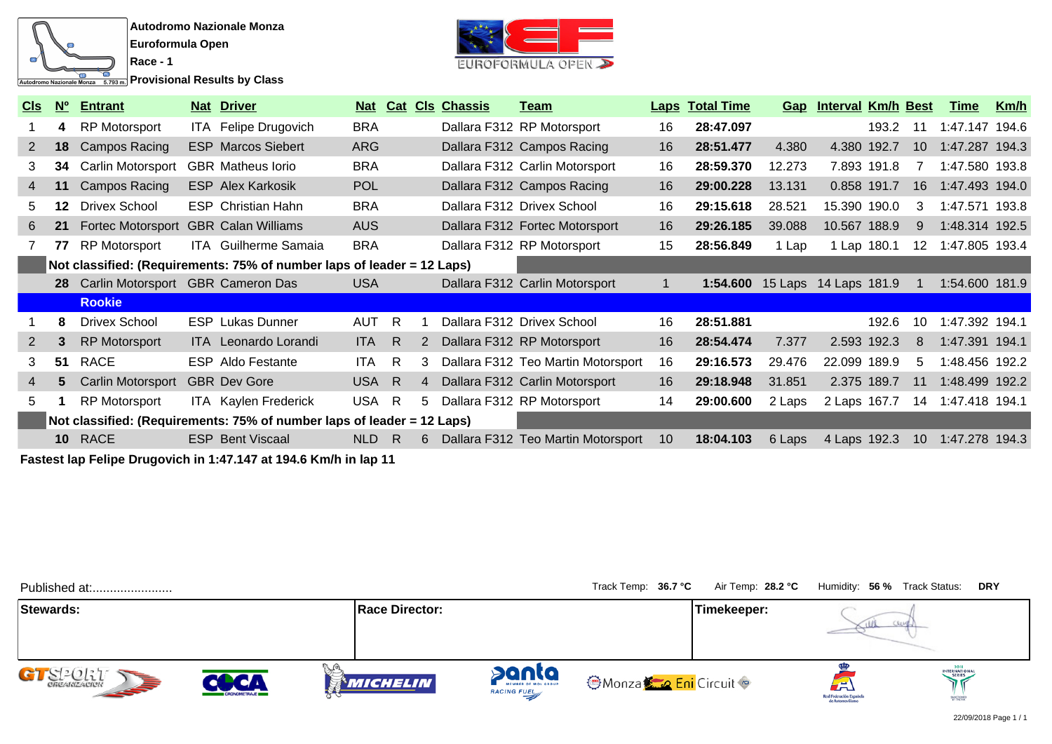

**Provisional Results by Class** 

**Race - 1**



| <b>CIS</b>     | N <sup>o</sup> | <b>Entrant</b>                       | <b>Nat Driver</b>                                                      |            |    |    | Nat Cat CIs Chassis | <u>Team</u>                        |    | <b>Laps Total Time</b> | <u>Gap</u> | <b>Interval Km/h Best</b> |       |                 | <b>Time</b>    | Km/h  |
|----------------|----------------|--------------------------------------|------------------------------------------------------------------------|------------|----|----|---------------------|------------------------------------|----|------------------------|------------|---------------------------|-------|-----------------|----------------|-------|
|                | 4              | <b>RP Motorsport</b>                 | ITA Felipe Drugovich                                                   | <b>BRA</b> |    |    |                     | Dallara F312 RP Motorsport         | 16 | 28:47.097              |            |                           | 193.2 | 11              | 1:47.147       | 194.6 |
| 2              | 18             | Campos Racing                        | <b>ESP Marcos Siebert</b>                                              | <b>ARG</b> |    |    |                     | Dallara F312 Campos Racing         | 16 | 28:51.477              | 4.380      | 4.380 192.7               |       | 10              | 1:47.287 194.3 |       |
| 3              | 34             | Carlin Motorsport                    | <b>GBR</b> Matheus lorio                                               | <b>BRA</b> |    |    |                     | Dallara F312 Carlin Motorsport     | 16 | 28:59.370              | 12.273     | 7.893 191.8               |       |                 | 1:47.580 193.8 |       |
| $\overline{4}$ | 11             | Campos Racing                        | <b>ESP Alex Karkosik</b>                                               | <b>POL</b> |    |    |                     | Dallara F312 Campos Racing         | 16 | 29:00.228              | 13.131     | 0.858 191.7               |       | 16              | 1:47.493 194.0 |       |
| 5.             | 12             | <b>Drivex School</b>                 | <b>ESP</b> Christian Hahn                                              | <b>BRA</b> |    |    |                     | Dallara F312 Drivex School         | 16 | 29:15.618              | 28.521     | 15.390 190.0              |       | 3               | 1:47.571       | 193.8 |
| 6              | 21             | <b>Fortec Motorsport</b>             | <b>GBR Calan Williams</b>                                              | <b>AUS</b> |    |    |                     | Dallara F312 Fortec Motorsport     | 16 | 29:26.185              | 39.088     | 10.567 188.9              |       | 9               | 1:48.314 192.5 |       |
|                | 77             | <b>RP Motorsport</b>                 | <b>ITA</b> Guilherme Samaia                                            | <b>BRA</b> |    |    |                     | Dallara F312 RP Motorsport         | 15 | 28:56.849              | 1 Lap      | 1 Lap 180.1               |       | 12 <sup>°</sup> | 1:47.805 193.4 |       |
|                |                |                                      | Not classified: (Requirements: 75% of number laps of leader = 12 Laps) |            |    |    |                     |                                    |    |                        |            |                           |       |                 |                |       |
|                |                | 28 Carlin Motorsport GBR Cameron Das |                                                                        | <b>USA</b> |    |    |                     | Dallara F312 Carlin Motorsport     |    | 1:54.600               |            | 15 Laps 14 Laps 181.9     |       |                 | 1:54.600 181.9 |       |
|                |                | <b>Rookie</b>                        |                                                                        |            |    |    |                     |                                    |    |                        |            |                           |       |                 |                |       |
|                | 8              | <b>Drivex School</b>                 | <b>ESP</b> Lukas Dunner                                                | AUT        | R. |    |                     | Dallara F312 Drivex School         | 16 | 28:51.881              |            |                           | 192.6 | 10              | 1:47.392 194.1 |       |
| 2              | 3              | <b>RP Motorsport</b>                 | ITA Leonardo Lorandi                                                   | <b>ITA</b> | -R | 2  |                     | Dallara F312 RP Motorsport         | 16 | 28:54.474              | 7.377      | 2.593 192.3               |       | 8               | 1:47.391 194.1 |       |
| 3              | 51             | <b>RACE</b>                          | <b>ESP</b> Aldo Festante                                               | <b>ITA</b> | R  | 3  |                     | Dallara F312 Teo Martin Motorsport | 16 | 29:16.573              | 29.476     | 22.099 189.9              |       | 5               | 1:48.456 192.2 |       |
| $\overline{4}$ | 5              | Carlin Motorsport                    | <b>GBR</b> Dev Gore                                                    | USA R      |    | 4  |                     | Dallara F312 Carlin Motorsport     | 16 | 29:18.948              | 31.851     | 2.375 189.7               |       | 11              | 1:48.499 192.2 |       |
| 5.             |                | <b>RP Motorsport</b>                 | <b>ITA</b> Kaylen Frederick                                            | USA R      |    | 5. |                     | Dallara F312 RP Motorsport         | 14 | 29:00.600              | 2 Laps     | 2 Laps 167.7              |       | 14              | 1:47.418 194.1 |       |
|                |                |                                      | Not classified: (Requirements: 75% of number laps of leader = 12 Laps) |            |    |    |                     |                                    |    |                        |            |                           |       |                 |                |       |
|                |                | 10 RACE                              | <b>ESP Bent Viscaal</b>                                                | <b>NLD</b> | R  | 6  |                     | Dallara F312 Teo Martin Motorsport | 10 | 18:04.103              | 6 Laps     | 4 Laps 192.3              |       | 10 <sup>°</sup> | 1:47.278       | 194.3 |

**Fastest lap Felipe Drugovich in 1:47.147 at 194.6 Km/h in lap 11**

| Published at:                     |                            |                       |                                             | Track Temp: 36.7 °C          | Air Temp: 28.2 °C | Humidity: 56 % Track Status:                                      | <b>DRY</b>                                   |
|-----------------------------------|----------------------------|-----------------------|---------------------------------------------|------------------------------|-------------------|-------------------------------------------------------------------|----------------------------------------------|
| Stewards:                         |                            | <b>Race Director:</b> |                                             |                              | Timekeeper:       |                                                                   |                                              |
| <b>SEP</b><br><b>CHCANIZACION</b> | <b>LCA</b><br>CRONOMETRAJE | <b>MICHELIN</b>       | panta<br>MEMBER OF MOL GROUP<br>RACING FUEL | <b>OMonza Co Eni</b> Circuit |                   | $\left( -\right)$<br>Real Federación Española<br>de Automovilismo | 2018<br>INTERNATIONAL<br>SERIES<br>SANCRONED |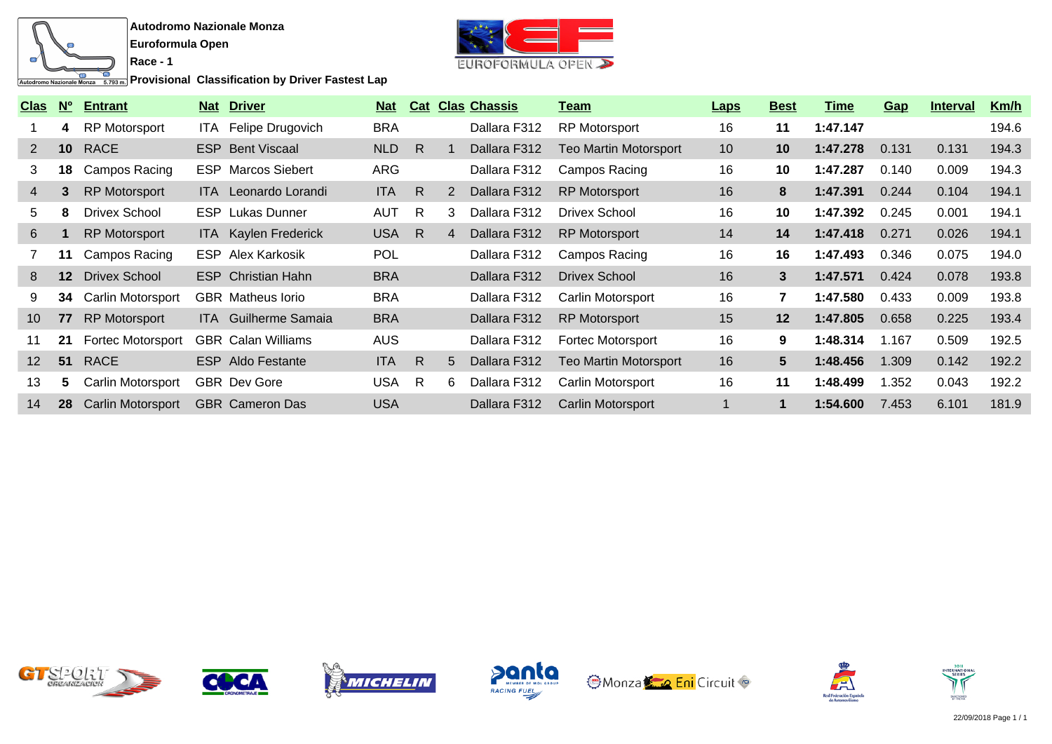

**Race - 1**

**Provisional Classification by Driver Fastest Lap** 



| <b>Clas</b>       | <b>No</b>       | <b>Entrant</b>           |     | <b>Nat Driver</b>           | <b>Nat</b> |              |                | <b>Cat Clas Chassis</b> | Team                         | <b>Laps</b> | <b>Best</b>    | Time     | <b>Gap</b> | <b>Interval</b> | Km/h  |
|-------------------|-----------------|--------------------------|-----|-----------------------------|------------|--------------|----------------|-------------------------|------------------------------|-------------|----------------|----------|------------|-----------------|-------|
|                   | 4               | <b>RP Motorsport</b>     | ITA | Felipe Drugovich            | <b>BRA</b> |              |                | Dallara F312            | <b>RP Motorsport</b>         | 16          | 11             | 1:47.147 |            |                 | 194.6 |
| $\overline{2}$    | 10 <sup>°</sup> | <b>RACE</b>              |     | <b>ESP</b> Bent Viscaal     | NLD        | $\mathsf{R}$ |                | Dallara F312            | <b>Teo Martin Motorsport</b> | 10          | 10             | 1:47.278 | 0.131      | 0.131           | 194.3 |
| 3                 | 18              | Campos Racing            |     | <b>ESP</b> Marcos Siebert   | ARG        |              |                | Dallara F312            | Campos Racing                | 16          | 10             | 1:47.287 | 0.140      | 0.009           | 194.3 |
| $\overline{4}$    | 3               | <b>RP Motorsport</b>     |     | <b>ITA</b> Leonardo Lorandi | <b>ITA</b> | $\mathsf{R}$ | 2              | Dallara F312            | <b>RP Motorsport</b>         | 16          | 8              | 1:47.391 | 0.244      | 0.104           | 194.1 |
| 5                 | 8               | <b>Drivex School</b>     |     | <b>ESP</b> Lukas Dunner     | <b>AUT</b> | R.           | 3              | Dallara F312            | Drivex School                | 16          | 10             | 1:47.392 | 0.245      | 0.001           | 194.1 |
| 6                 |                 | <b>RP Motorsport</b>     |     | <b>ITA</b> Kaylen Frederick | <b>USA</b> | $\mathsf{R}$ | $\overline{4}$ | Dallara F312            | <b>RP Motorsport</b>         | 14          | 14             | 1:47.418 | 0.271      | 0.026           | 194.1 |
|                   | 11              | Campos Racing            |     | <b>ESP</b> Alex Karkosik    | <b>POL</b> |              |                | Dallara F312            | Campos Racing                | 16          | 16             | 1:47.493 | 0.346      | 0.075           | 194.0 |
| 8                 | $12 \,$         | <b>Drivex School</b>     |     | <b>ESP</b> Christian Hahn   | <b>BRA</b> |              |                | Dallara F312            | <b>Drivex School</b>         | 16          | 3              | 1:47.571 | 0.424      | 0.078           | 193.8 |
| 9                 | 34              | <b>Carlin Motorsport</b> |     | <b>GBR</b> Matheus lorio    | <b>BRA</b> |              |                | Dallara F312            | Carlin Motorsport            | 16          | $\overline{7}$ | 1:47.580 | 0.433      | 0.009           | 193.8 |
| 10 <sup>°</sup>   | 77              | <b>RP Motorsport</b>     |     | <b>ITA</b> Guilherme Samaia | <b>BRA</b> |              |                | Dallara F312            | <b>RP Motorsport</b>         | 15          | 12             | 1:47.805 | 0.658      | 0.225           | 193.4 |
| 11                | 21              | <b>Fortec Motorsport</b> |     | <b>GBR</b> Calan Williams   | <b>AUS</b> |              |                | Dallara F312            | <b>Fortec Motorsport</b>     | 16          | 9              | 1:48.314 | 1.167      | 0.509           | 192.5 |
| $12 \overline{ }$ | 51              | <b>RACE</b>              |     | <b>ESP</b> Aldo Festante    | <b>ITA</b> | $\mathsf{R}$ | 5              | Dallara F312            | <b>Teo Martin Motorsport</b> | 16          | 5              | 1:48.456 | 1.309      | 0.142           | 192.2 |
| 13                | 5               | Carlin Motorsport        |     | <b>GBR</b> Dev Gore         | <b>USA</b> | R            | 6              | Dallara F312            | Carlin Motorsport            | 16          | 11             | 1:48.499 | 1.352      | 0.043           | 192.2 |
| 14                | 28              | Carlin Motorsport        |     | <b>GBR</b> Cameron Das      | <b>USA</b> |              |                | Dallara F312            | Carlin Motorsport            |             | 1              | 1:54.600 | 7.453      | 6.101           | 181.9 |













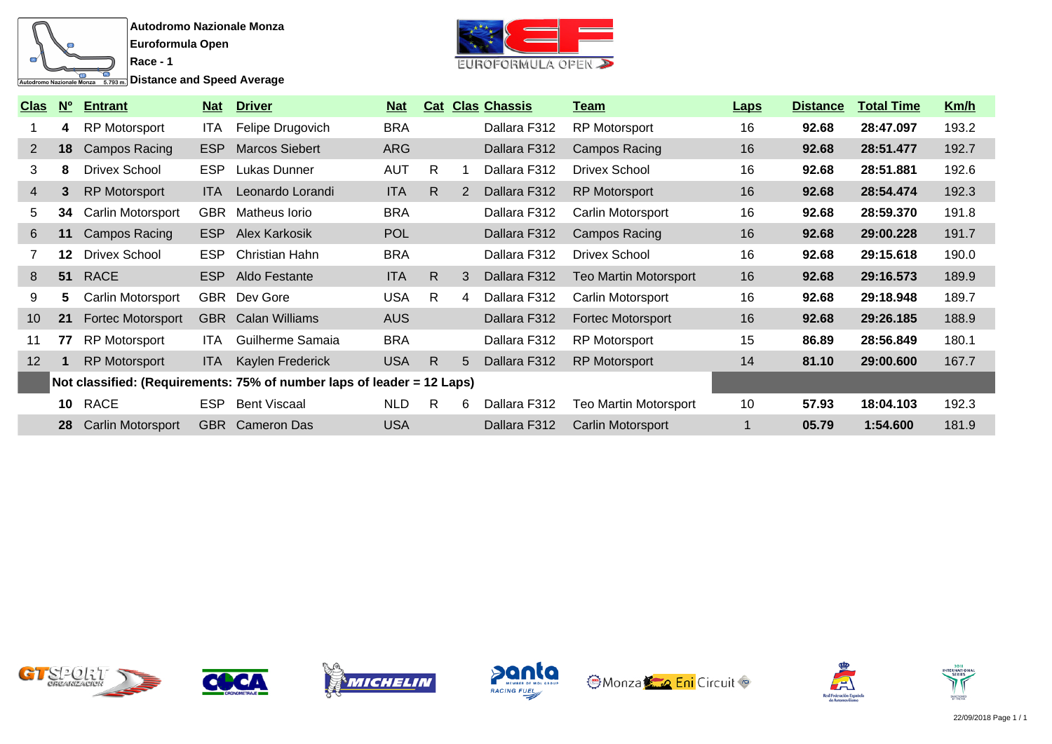

**Distance and Speed Average** 

**Race - 1**



| <b>Clas</b>       | $N^{\circ}$ | <b>Entrant</b>           | <u>Nat</u> | <b>Driver</b>                                                          | <u>Nat</u> |              |   | <b>Cat Clas Chassis</b> | <u>Team</u>                  | <b>Laps</b> | <b>Distance</b> | <b>Total Time</b> | Km/h  |
|-------------------|-------------|--------------------------|------------|------------------------------------------------------------------------|------------|--------------|---|-------------------------|------------------------------|-------------|-----------------|-------------------|-------|
|                   | 4           | <b>RP Motorsport</b>     | ITA.       | Felipe Drugovich                                                       | <b>BRA</b> |              |   | Dallara F312            | <b>RP Motorsport</b>         | 16          | 92.68           | 28:47.097         | 193.2 |
| $\mathbf{2}$      | 18          | Campos Racing            | <b>ESP</b> | <b>Marcos Siebert</b>                                                  | <b>ARG</b> |              |   | Dallara F312            | Campos Racing                | 16          | 92.68           | 28:51.477         | 192.7 |
| 3                 | 8           | <b>Drivex School</b>     | <b>ESP</b> | Lukas Dunner                                                           | <b>AUT</b> | R.           |   | Dallara F312            | <b>Drivex School</b>         | 16          | 92.68           | 28:51.881         | 192.6 |
| $\overline{4}$    | 3           | <b>RP Motorsport</b>     | ITA.       | Leonardo Lorandi                                                       | <b>ITA</b> | R.           | 2 | Dallara F312            | <b>RP Motorsport</b>         | 16          | 92.68           | 28:54.474         | 192.3 |
| 5                 | 34          | Carlin Motorsport        | <b>GBR</b> | Matheus Iorio                                                          | <b>BRA</b> |              |   | Dallara F312            | Carlin Motorsport            | 16          | 92.68           | 28:59.370         | 191.8 |
| 6                 | 11          | <b>Campos Racing</b>     | ESP        | Alex Karkosik                                                          | <b>POL</b> |              |   | Dallara F312            | Campos Racing                | 16          | 92.68           | 29:00.228         | 191.7 |
|                   | 12          | <b>Drivex School</b>     | <b>ESP</b> | Christian Hahn                                                         | <b>BRA</b> |              |   | Dallara F312            | <b>Drivex School</b>         | 16          | 92.68           | 29:15.618         | 190.0 |
| 8                 |             | 51 RACE                  |            | ESP Aldo Festante                                                      | <b>ITA</b> | R.           | 3 | Dallara F312            | <b>Teo Martin Motorsport</b> | 16          | 92.68           | 29:16.573         | 189.9 |
| 9                 | 5           | Carlin Motorsport        |            | GBR Dev Gore                                                           | <b>USA</b> | R.           | 4 | Dallara F312            | Carlin Motorsport            | 16          | 92.68           | 29:18.948         | 189.7 |
| 10 <sup>°</sup>   | 21          | Fortec Motorsport        |            | <b>GBR</b> Calan Williams                                              | <b>AUS</b> |              |   | Dallara F312            | <b>Fortec Motorsport</b>     | 16          | 92.68           | 29:26.185         | 188.9 |
| 11                | 77          | <b>RP Motorsport</b>     | ITA.       | Guilherme Samaia                                                       | <b>BRA</b> |              |   | Dallara F312            | <b>RP Motorsport</b>         | 15          | 86.89           | 28:56.849         | 180.1 |
| $12 \overline{ }$ |             | <b>RP Motorsport</b>     | ITA I      | Kaylen Frederick                                                       | <b>USA</b> | $\mathsf{R}$ | 5 | Dallara F312            | <b>RP Motorsport</b>         | 14          | 81.10           | 29:00.600         | 167.7 |
|                   |             |                          |            | Not classified: (Requirements: 75% of number laps of leader = 12 Laps) |            |              |   |                         |                              |             |                 |                   |       |
|                   | 10          | <b>RACE</b>              | <b>ESP</b> | <b>Bent Viscaal</b>                                                    | <b>NLD</b> | R.           | 6 | Dallara F312            | Teo Martin Motorsport        | 10          | 57.93           | 18:04.103         | 192.3 |
|                   | 28          | <b>Carlin Motorsport</b> |            | <b>GBR</b> Cameron Das                                                 | <b>USA</b> |              |   | Dallara F312            | Carlin Motorsport            |             | 05.79           | 1:54.600          | 181.9 |













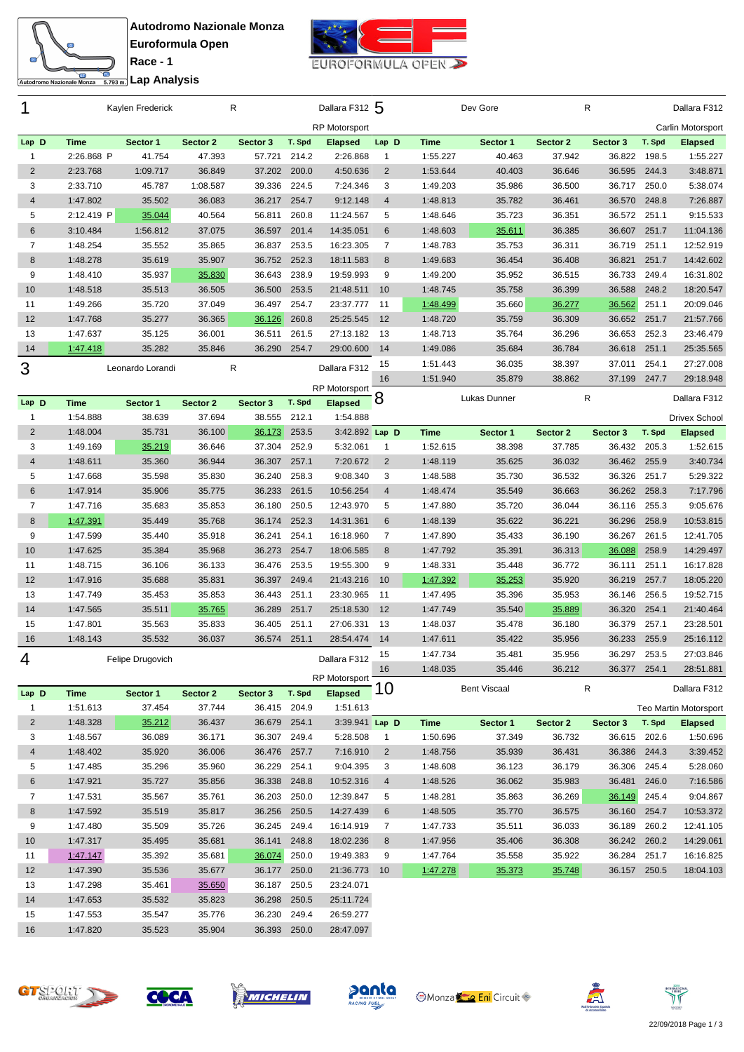



<del>ta</del><br>Engli**analisis** Lap Analysis

| 1              |             | Kaylen Frederick |          | R            |        | Dallara F312 5       |                |             | Dev Gore            |          | R            |        | Dallara F312          |
|----------------|-------------|------------------|----------|--------------|--------|----------------------|----------------|-------------|---------------------|----------|--------------|--------|-----------------------|
|                |             |                  |          |              |        | <b>RP Motorsport</b> |                |             |                     |          |              |        | Carlin Motorsport     |
| Lap D          | <b>Time</b> | Sector 1         | Sector 2 | Sector 3     | T. Spd | <b>Elapsed</b>       | Lap D          | <b>Time</b> | Sector 1            | Sector 2 | Sector 3     | T. Spd | <b>Elapsed</b>        |
| 1              | 2:26.868 P  | 41.754           | 47.393   | 57.721       | 214.2  | 2:26.868             | $\mathbf{1}$   | 1:55.227    | 40.463              | 37.942   | 36.822       | 198.5  | 1:55.227              |
| $\sqrt{2}$     | 2:23.768    | 1:09.717         | 36.849   | 37.202       | 200.0  | 4:50.636             | $\overline{2}$ | 1:53.644    | 40.403              | 36.646   | 36.595       | 244.3  | 3:48.871              |
| 3              | 2:33.710    | 45.787           | 1:08.587 | 39.336       | 224.5  | 7:24.346             | 3              | 1:49.203    | 35.986              | 36.500   | 36.717       | 250.0  | 5:38.074              |
| $\overline{4}$ | 1:47.802    | 35.502           | 36.083   | 36.217       | 254.7  | 9:12.148             | $\overline{4}$ | 1:48.813    | 35.782              | 36.461   | 36.570       | 248.8  | 7:26.887              |
| 5              | 2:12.419 P  | 35.044           | 40.564   | 56.811       | 260.8  | 11:24.567            | 5              | 1:48.646    | 35.723              | 36.351   | 36.572       | 251.1  | 9:15.533              |
| 6              | 3:10.484    | 1:56.812         | 37.075   | 36.597       | 201.4  | 14:35.051            | 6              | 1:48.603    | 35.611              | 36.385   | 36.607       | 251.7  | 11:04.136             |
| $\overline{7}$ | 1:48.254    | 35.552           | 35.865   | 36.837       | 253.5  | 16:23.305            | $\overline{7}$ | 1:48.783    | 35.753              | 36.311   | 36.719       | 251.1  | 12:52.919             |
| 8              | 1:48.278    | 35.619           | 35.907   | 36.752       | 252.3  | 18:11.583            | 8              | 1:49.683    | 36.454              | 36.408   | 36.821       | 251.7  | 14:42.602             |
| 9              | 1:48.410    | 35.937           | 35.830   | 36.643       | 238.9  | 19:59.993            | 9              | 1:49.200    | 35.952              | 36.515   | 36.733       | 249.4  | 16:31.802             |
| 10             | 1:48.518    | 35.513           | 36.505   | 36.500       | 253.5  | 21:48.511            | 10             | 1:48.745    | 35.758              | 36.399   | 36.588       | 248.2  | 18:20.547             |
| 11             | 1:49.266    | 35.720           | 37.049   | 36.497       | 254.7  | 23:37.777            | -11            | 1:48.499    | 35.660              | 36.277   | 36.562       | 251.1  | 20:09.046             |
| 12             | 1:47.768    | 35.277           | 36.365   | 36.126       | 260.8  | 25:25.545            | 12             | 1:48.720    | 35.759              | 36.309   | 36.652       | 251.7  | 21:57.766             |
| 13             | 1:47.637    | 35.125           | 36.001   | 36.511       | 261.5  | 27:13.182            | -13            | 1:48.713    | 35.764              | 36.296   | 36.653       | 252.3  | 23:46.479             |
| 14             | 1:47.418    | 35.282           | 35.846   | 36.290       | 254.7  | 29:00.600            | 14             | 1:49.086    | 35.684              | 36.784   | 36.618       | 251.1  | 25:35.565             |
| 3              |             |                  |          | R            |        | Dallara F312         | 15             | 1:51.443    | 36.035              | 38.397   | 37.011       | 254.1  | 27:27.008             |
|                |             | Leonardo Lorandi |          |              |        |                      | 16             | 1:51.940    | 35.879              | 38.862   | 37.199       | 247.7  | 29:18.948             |
|                |             |                  |          |              |        | RP Motorsport        |                |             |                     |          |              |        |                       |
| Lap D          | <b>Time</b> | Sector 1         | Sector 2 | Sector 3     | T. Spd | <b>Elapsed</b>       | $\mathsf{8}$   |             | Lukas Dunner        |          | R            |        | Dallara F312          |
| 1              | 1:54.888    | 38.639           | 37.694   | 38.555       | 212.1  | 1:54.888             |                |             |                     |          |              |        | <b>Drivex School</b>  |
| $\sqrt{2}$     | 1:48.004    | 35.731           | 36.100   | 36.173       | 253.5  | 3:42.892 Lap D       |                | <b>Time</b> | Sector 1            | Sector 2 | Sector 3     | T. Spd | <b>Elapsed</b>        |
| 3              | 1:49.169    | 35.219           | 36.646   | 37.304       | 252.9  | 5:32.061             | 1              | 1:52.615    | 38.398              | 37.785   | 36.432       | 205.3  | 1:52.615              |
| $\overline{4}$ | 1:48.611    | 35.360           | 36.944   | 36.307       | 257.1  | 7:20.672             | $\overline{2}$ | 1:48.119    | 35.625              | 36.032   | 36.462       | 255.9  | 3:40.734              |
| 5              | 1:47.668    | 35.598           | 35.830   | 36.240       | 258.3  | 9:08.340             | 3              | 1:48.588    | 35.730              | 36.532   | 36.326       | 251.7  | 5:29.322              |
| $\,6$          | 1:47.914    | 35.906           | 35.775   | 36.233       | 261.5  | 10:56.254            | $\overline{4}$ | 1:48.474    | 35.549              | 36.663   | 36.262       | 258.3  | 7:17.796              |
| 7              | 1:47.716    | 35.683           | 35.853   | 36.180       | 250.5  | 12:43.970            | 5              | 1:47.880    | 35.720              | 36.044   | 36.116       | 255.3  | 9:05.676              |
| $\bf 8$        | 1:47.391    | 35.449           | 35.768   | 36.174       | 252.3  | 14:31.361            | $6\phantom{1}$ | 1:48.139    | 35.622              | 36.221   | 36.296       | 258.9  | 10:53.815             |
| 9              | 1:47.599    | 35.440           | 35.918   | 36.241       | 254.1  | 16:18.960            | $\overline{7}$ | 1:47.890    | 35.433              | 36.190   | 36.267       | 261.5  | 12:41.705             |
| 10             | 1:47.625    | 35.384           | 35.968   | 36.273       | 254.7  | 18:06.585            | 8              | 1:47.792    | 35.391              | 36.313   | 36.088       | 258.9  | 14:29.497             |
| 11             | 1:48.715    | 36.106           | 36.133   | 36.476       | 253.5  | 19:55.300            | 9              | 1:48.331    | 35.448              | 36.772   | 36.111       | 251.1  | 16:17.828             |
| 12             | 1:47.916    | 35.688           | 35.831   | 36.397       | 249.4  | 21:43.216            | 10             | 1:47.392    | 35.253              | 35.920   | 36.219       | 257.7  | 18:05.220             |
| 13             | 1:47.749    | 35.453           | 35.853   | 36.443       | 251.1  | 23:30.965            | - 11           | 1:47.495    | 35.396              | 35.953   | 36.146       | 256.5  | 19:52.715             |
| 14             | 1:47.565    | 35.511           | 35.765   | 36.289       | 251.7  | 25:18.530            | 12             | 1:47.749    | 35.540              | 35.889   | 36.320       | 254.1  | 21:40.464             |
| 15             | 1:47.801    | 35.563           | 35.833   | 36.405       | 251.1  | 27:06.331            | 13             | 1:48.037    | 35.478              | 36.180   | 36.379       | 257.1  | 23:28.501             |
| 16             | 1:48.143    | 35.532           | 36.037   | 36.574       | 251.1  | 28:54.474            | 14             | 1:47.611    | 35.422              | 35.956   | 36.233       | 255.9  | 25:16.112             |
|                |             | Felipe Drugovich |          |              |        |                      | 15             | 1:47.734    | 35.481              | 35.956   | 36.297       | 253.5  | 27:03.846             |
| 4              |             |                  |          |              |        | Dallara F312         | 16             | 1:48.035    | 35.446              | 36.212   | 36.377 254.1 |        | 28:51.881             |
|                |             |                  |          |              |        | <b>RP Motorsport</b> |                |             |                     |          |              |        |                       |
| Lap D          | <b>Time</b> | Sector 1         | Sector 2 | Sector 3     | T. Spd | <b>Elapsed</b>       | 10             |             | <b>Bent Viscaal</b> |          | ${\sf R}$    |        | Dallara F312          |
| 1              | 1:51.613    | 37.454           | 37.744   | 36.415 204.9 |        | 1:51.613             |                |             |                     |          |              |        | Teo Martin Motorsport |
| $\sqrt{2}$     | 1:48.328    | 35.212           | 36.437   | 36.679 254.1 |        | 3:39.941 Lap D       |                | <b>Time</b> | Sector 1            | Sector 2 | Sector 3     | T. Spd | <b>Elapsed</b>        |
| 3              | 1:48.567    | 36.089           | 36.171   | 36.307       | 249.4  | 5:28.508             | $\mathbf{1}$   | 1:50.696    | 37.349              | 36.732   | 36.615 202.6 |        | 1:50.696              |
| $\overline{4}$ | 1:48.402    | 35.920           | 36.006   | 36.476       | 257.7  | 7:16.910             | $\overline{2}$ | 1:48.756    | 35.939              | 36.431   | 36.386 244.3 |        | 3:39.452              |
| 5              | 1:47.485    | 35.296           | 35.960   | 36.229       | 254.1  | 9:04.395             | 3              | 1:48.608    | 36.123              | 36.179   | 36.306       | 245.4  | 5:28.060              |
| 6              | 1:47.921    | 35.727           | 35.856   | 36.338       | 248.8  | 10:52.316            | $\overline{4}$ | 1:48.526    | 36.062              | 35.983   | 36.481       | 246.0  | 7:16.586              |
| 7              | 1:47.531    | 35.567           | 35.761   | 36.203       | 250.0  | 12:39.847            | 5              | 1:48.281    | 35.863              | 36.269   | 36.149       | 245.4  | 9:04.867              |
| $\bf 8$        | 1:47.592    | 35.519           | 35.817   | 36.256       | 250.5  | 14:27.439            | 6              | 1:48.505    | 35.770              | 36.575   | 36.160 254.7 |        | 10:53.372             |
| 9              | 1:47.480    | 35.509           | 35.726   | 36.245       | 249.4  | 16:14.919            | 7              | 1:47.733    | 35.511              | 36.033   | 36.189       | 260.2  | 12:41.105             |
| 10             | 1:47.317    | 35.495           | 35.681   | 36.141       | 248.8  | 18:02.236            | 8              | 1:47.956    | 35.406              | 36.308   | 36.242 260.2 |        | 14:29.061             |
| 11             | 1:47.147    | 35.392           | 35.681   | 36.074       | 250.0  | 19:49.383            | 9              | 1:47.764    | 35.558              | 35.922   | 36.284       | 251.7  | 16:16.825             |
| 12             | 1:47.390    | 35.536           | 35.677   | 36.177 250.0 |        | 21:36.773 10         |                | 1:47.278    | 35.373              | 35.748   | 36.157 250.5 |        | 18:04.103             |
| 13             | 1:47.298    | 35.461           | 35.650   | 36.187       | 250.5  | 23:24.071            |                |             |                     |          |              |        |                       |
| 14             | 1:47.653    | 35.532           | 35.823   | 36.298       | 250.5  | 25:11.724            |                |             |                     |          |              |        |                       |
| 15             | 1:47.553    | 35.547           | 35.776   | 36.230       | 249.4  | 26:59.277            |                |             |                     |          |              |        |                       |
| 16             | 1:47.820    | 35.523           | 35.904   | 36.393 250.0 |        | 28:47.097            |                |             |                     |          |              |        |                       |
|                |             |                  |          |              |        |                      |                |             |                     |          |              |        |                       |









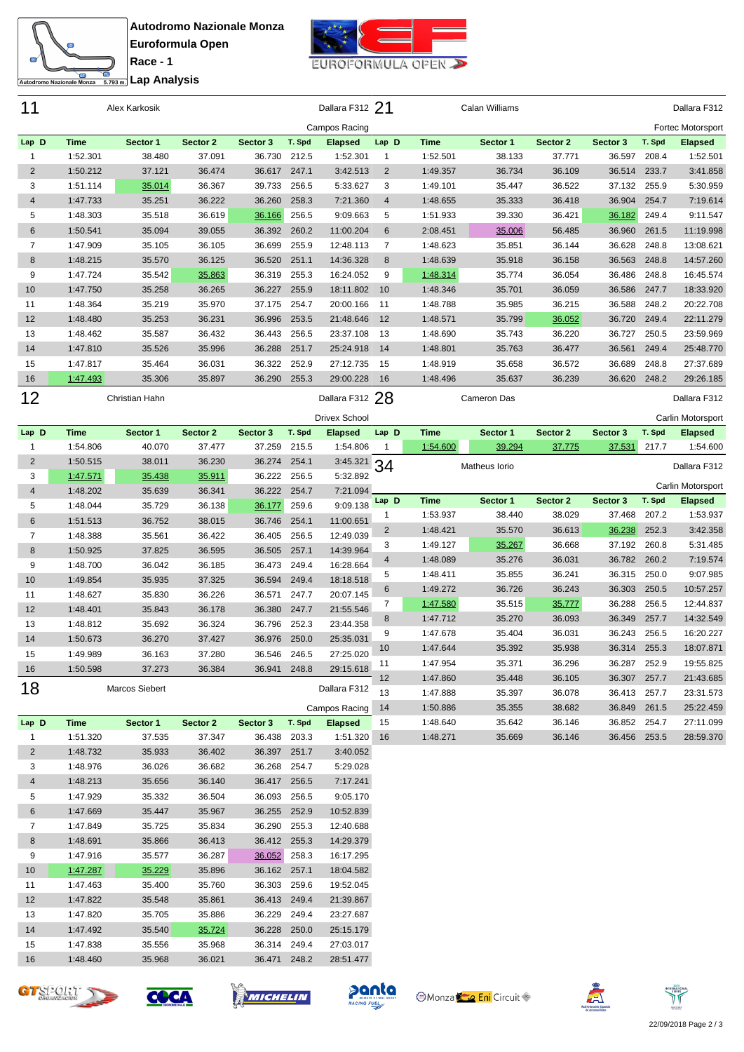



<del>ta</del><br>Englicidae Analysis

| 11             |                      | Alex Karkosik    |                  |                              |                | Dallara F312 21           |                |             | Calan Williams |          |              |        | Dallara F312      |
|----------------|----------------------|------------------|------------------|------------------------------|----------------|---------------------------|----------------|-------------|----------------|----------|--------------|--------|-------------------|
|                |                      |                  |                  |                              |                | Campos Racing             |                |             |                |          |              |        | Fortec Motorsport |
| Lap D          | <b>Time</b>          | Sector 1         | Sector 2         | Sector 3                     | T. Spd         | <b>Elapsed</b>            | Lap D          | <b>Time</b> | Sector 1       | Sector 2 | Sector 3     | T. Spd | <b>Elapsed</b>    |
| 1              | 1:52.301             | 38.480           | 37.091           | 36.730 212.5                 |                | 1:52.301                  | $\mathbf{1}$   | 1:52.501    | 38.133         | 37.771   | 36.597       | 208.4  | 1:52.501          |
| $\overline{2}$ | 1:50.212             | 37.121           | 36.474           | 36.617                       | 247.1          | 3:42.513                  | $\overline{2}$ | 1:49.357    | 36.734         | 36.109   | 36.514       | 233.7  | 3:41.858          |
| 3              | 1:51.114             | 35.014           | 36.367           | 39.733                       | 256.5          | 5:33.627                  | 3              | 1:49.101    | 35.447         | 36.522   | 37.132       | 255.9  | 5:30.959          |
| 4              | 1:47.733             | 35.251           | 36.222           | 36.260                       | 258.3          | 7:21.360                  | $\overline{4}$ | 1:48.655    | 35.333         | 36.418   | 36.904       | 254.7  | 7:19.614          |
| 5              | 1:48.303             | 35.518           | 36.619           | 36.166                       | 256.5          | 9:09.663                  | 5              | 1:51.933    | 39.330         | 36.421   | 36.182       | 249.4  | 9:11.547          |
| 6              | 1:50.541             | 35.094           | 39.055           | 36.392                       | 260.2          | 11:00.204                 | 6              | 2:08.451    | 35.006         | 56.485   | 36.960       | 261.5  | 11:19.998         |
| 7              | 1:47.909             | 35.105           | 36.105           | 36.699                       | 255.9          | 12:48.113                 | 7              | 1:48.623    | 35.851         | 36.144   | 36.628       | 248.8  | 13:08.621         |
| 8              | 1:48.215             | 35.570           | 36.125           | 36.520                       | 251.1          | 14:36.328                 | 8              | 1:48.639    | 35.918         | 36.158   | 36.563       | 248.8  | 14:57.260         |
| 9              | 1:47.724             | 35.542           | 35.863           | 36.319                       | 255.3          | 16:24.052                 | 9              | 1:48.314    | 35.774         | 36.054   | 36.486       | 248.8  | 16:45.574         |
| 10             | 1:47.750             | 35.258           | 36.265           | 36.227                       | 255.9          | 18:11.802                 | 10             | 1:48.346    | 35.701         | 36.059   | 36.586       | 247.7  | 18:33.920         |
| 11             | 1:48.364             | 35.219           | 35.970           | 37.175 254.7                 |                | 20:00.166                 | 11             | 1:48.788    | 35.985         | 36.215   | 36.588       | 248.2  | 20:22.708         |
| 12             | 1:48.480             | 35.253           | 36.231           | 36.996                       | 253.5          | 21:48.646                 | 12             | 1:48.571    | 35.799         | 36.052   | 36.720       | 249.4  | 22:11.279         |
| 13             | 1:48.462             | 35.587           | 36.432           | 36.443                       | 256.5          | 23:37.108                 | 13             | 1:48.690    | 35.743         | 36.220   | 36.727       | 250.5  | 23:59.969         |
| 14             | 1:47.810             | 35.526           | 35.996           | 36.288                       | 251.7          | 25:24.918                 | 14             | 1:48.801    | 35.763         | 36.477   | 36.561       | 249.4  | 25:48.770         |
| 15             | 1:47.817             | 35.464           | 36.031           | 36.322                       | 252.9          | 27:12.735                 | 15             | 1:48.919    | 35.658         | 36.572   | 36.689       | 248.8  | 27:37.689         |
| 16             | 1:47.493             | 35.306           | 35.897           | 36.290                       | 255.3          | 29:00.228                 | 16             | 1:48.496    | 35.637         | 36.239   | 36.620       | 248.2  | 29:26.185         |
| 12             |                      | Christian Hahn   |                  |                              |                | Dallara F312 28           |                |             | Cameron Das    |          |              |        | Dallara F312      |
|                |                      |                  |                  |                              |                |                           |                |             |                |          |              |        |                   |
|                |                      |                  |                  |                              |                | <b>Drivex School</b>      |                |             |                |          |              |        | Carlin Motorsport |
| Lap D          | <b>Time</b>          | Sector 1         | Sector 2         | Sector 3                     | T. Spd         | <b>Elapsed</b>            | Lap D          | <b>Time</b> | Sector 1       | Sector 2 | Sector 3     | T. Spd | <b>Elapsed</b>    |
| $\mathbf{1}$   | 1:54.806             | 40.070           | 37.477           | 37.259 215.5                 |                | 1:54.806                  | -1             | 1:54.600    | 39.294         | 37.775   | 37.531       | 217.7  | 1:54.600          |
| $\overline{2}$ | 1:50.515             | 38.011           | 36.230           | 36.274                       | 254.1          | $3:45.321$ 34<br>5:32.892 |                |             | Matheus Iorio  |          |              |        | Dallara F312      |
| 3<br>4         | 1:47.571             | 35.438           | 35.911           | 36.222<br>36.222             | 256.5<br>254.7 | 7:21.094                  |                |             |                |          |              |        | Carlin Motorsport |
|                | 1:48.202             | 35.639           | 36.341           |                              | 259.6          | 9:09.138                  | Lap D          | <b>Time</b> | Sector 1       | Sector 2 | Sector 3     | T. Spd | <b>Elapsed</b>    |
| 5<br>6         | 1:48.044             | 35.729           | 36.138           | 36.177                       |                |                           |                |             |                |          |              |        |                   |
|                |                      |                  |                  |                              |                |                           | 1              | 1:53.937    | 38.440         | 38.029   | 37.468       | 207.2  | 1:53.937          |
|                | 1:51.513             | 36.752           | 38.015           | 36.746                       | 254.1          | 11:00.651                 | $\overline{2}$ | 1:48.421    | 35.570         | 36.613   | 36.238       | 252.3  | 3:42.358          |
| 7              | 1:48.388             | 35.561           | 36.422           | 36.405                       | 256.5          | 12:49.039                 | 3              | 1:49.127    | 35.267         | 36.668   | 37.192       | 260.8  | 5:31.485          |
| 8              | 1:50.925             | 37.825           | 36.595           | 36.505                       | 257.1          | 14:39.964                 | $\overline{4}$ | 1:48.089    | 35.276         | 36.031   | 36.782 260.2 |        | 7:19.574          |
| 9              | 1:48.700             | 36.042           | 36.185           | 36.473                       | 249.4          | 16:28.664                 | 5              | 1:48.411    | 35.855         | 36.241   | 36.315       | 250.0  | 9:07.985          |
| 10             | 1:49.854             | 35.935           | 37.325           | 36.594                       | 249.4          | 18:18.518                 | 6              | 1:49.272    | 36.726         | 36.243   | 36.303       | 250.5  | 10:57.257         |
| 11             | 1:48.627             | 35.830           | 36.226           | 36.571                       | 247.7          | 20:07.145                 | 7              | 1:47.580    | 35.515         | 35.777   | 36.288       | 256.5  | 12:44.837         |
| 12             | 1:48.401             | 35.843           | 36.178           | 36.380                       | 247.7          | 21:55.546                 | 8              | 1:47.712    | 35.270         | 36.093   | 36.349       | 257.7  | 14:32.549         |
| 13             | 1:48.812             | 35.692           | 36.324           | 36.796                       | 252.3          | 23:44.358                 | 9              | 1:47.678    | 35.404         | 36.031   | 36.243       | 256.5  | 16:20.227         |
| 14             | 1:50.673             | 36.270           | 37.427           | 36.976                       | 250.0          | 25:35.031                 |                | 1:47.644    | 35.392         | 35.938   | 36.314 255.3 |        | 18:07.871         |
| 15             | 1:49.989             | 36.163           | 37.280           | 36.546 246.5                 |                | 27:25.020                 | $10$           | 1:47.954    | 35.371         | 36.296   | 36.287 252.9 |        | 19:55.825         |
| 16             | 1:50.598             | 37.273           | 36.384           | 36.941 248.8                 |                | 29:15.618                 | 11<br>12       | 1:47.860    | 35.448         | 36.105   | 36.307 257.7 |        | 21:43.685         |
| 18             |                      | Marcos Siebert   |                  |                              |                | Dallara F312              | 13             | 1:47.888    | 35.397         | 36.078   | 36.413 257.7 |        | 23:31.573         |
|                |                      |                  |                  |                              |                | Campos Racing             | 14             | 1:50.886    | 35.355         | 38.682   | 36.849 261.5 |        | 25:22.459         |
| Lap D          | <b>Time</b>          | Sector 1         | Sector 2         | Sector 3                     | T. Spd         | <b>Elapsed</b>            | 15             | 1:48.640    | 35.642         | 36.146   | 36.852 254.7 |        | 27:11.099         |
| $\mathbf{1}$   | 1:51.320             | 37.535           | 37.347           | 36.438 203.3                 |                | 1:51.320                  | 16             | 1:48.271    | 35.669         | 36.146   | 36.456 253.5 |        | 28:59.370         |
| $\overline{2}$ | 1:48.732             | 35.933           | 36.402           | 36.397                       | 251.7          | 3:40.052                  |                |             |                |          |              |        |                   |
| 3              | 1:48.976             | 36.026           | 36.682           | 36.268                       | 254.7          | 5:29.028                  |                |             |                |          |              |        |                   |
| 4              | 1:48.213             | 35.656           | 36.140           | 36.417                       | 256.5          | 7:17.241                  |                |             |                |          |              |        |                   |
| 5              | 1:47.929             | 35.332           | 36.504           | 36.093                       | 256.5          | 9:05.170                  |                |             |                |          |              |        |                   |
| 6              |                      |                  |                  |                              | 252.9          |                           |                |             |                |          |              |        |                   |
| 7              | 1:47.669<br>1:47.849 | 35.447<br>35.725 | 35.967<br>35.834 | 36.255<br>36.290 255.3       |                | 10:52.839<br>12:40.688    |                |             |                |          |              |        |                   |
| 8              | 1:48.691             | 35.866           | 36.413           | 36.412 255.3                 |                | 14:29.379                 |                |             |                |          |              |        |                   |
| 9              | 1:47.916             | 35.577           | 36.287           | 36.052                       | 258.3          | 16:17.295                 |                |             |                |          |              |        |                   |
| 10             | 1:47.287             | 35.229           | 35.896           | 36.162 257.1                 |                | 18:04.582                 |                |             |                |          |              |        |                   |
| 11             | 1:47.463             | 35.400           | 35.760           | 36.303 259.6                 |                | 19:52.045                 |                |             |                |          |              |        |                   |
| 12             |                      |                  |                  |                              |                |                           |                |             |                |          |              |        |                   |
|                | 1:47.822             | 35.548           | 35.861           | 36.413 249.4                 |                | 21:39.867                 |                |             |                |          |              |        |                   |
| 13<br>14       | 1:47.820<br>1:47.492 | 35.705<br>35.540 | 35.886           | 36.229 249.4<br>36.228 250.0 |                | 23:27.687                 |                |             |                |          |              |        |                   |
| 15             | 1:47.838             | 35.556           | 35.724<br>35.968 | 36.314 249.4                 |                | 25:15.179<br>27:03.017    |                |             |                |          |              |        |                   |









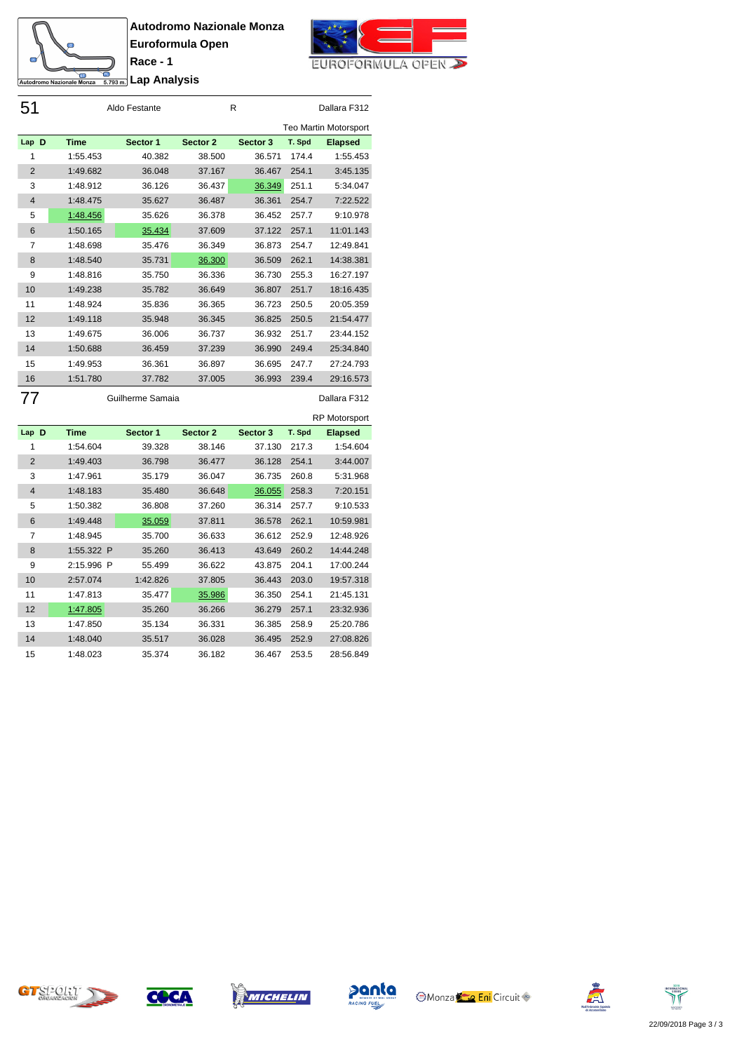



**Lap Analysis**

**Race - 1**

| 51             |          | Aldo Festante |          | R        | Dallara F312 |                       |
|----------------|----------|---------------|----------|----------|--------------|-----------------------|
|                |          |               |          |          |              | Teo Martin Motorsport |
| Lap D          | Time     | Sector 1      | Sector 2 | Sector 3 | T. Spd       | <b>Elapsed</b>        |
| 1              | 1:55.453 | 40.382        | 38.500   | 36.571   | 174.4        | 1:55.453              |
| $\overline{2}$ | 1:49.682 | 36.048        | 37.167   | 36.467   | 254.1        | 3:45.135              |
| 3              | 1:48.912 | 36.126        | 36.437   | 36.349   | 251.1        | 5:34.047              |
| $\overline{4}$ | 1:48.475 | 35.627        | 36.487   | 36.361   | 254.7        | 7:22.522              |
| 5              | 1:48.456 | 35.626        | 36.378   | 36.452   | 257.7        | 9:10.978              |
| 6              | 1:50.165 | 35.434        | 37.609   | 37.122   | 257.1        | 11:01.143             |
| 7              | 1:48.698 | 35.476        | 36.349   | 36.873   | 254.7        | 12:49.841             |
| 8              | 1:48.540 | 35.731        | 36.300   | 36.509   | 262.1        | 14:38.381             |
| 9              | 1:48.816 | 35.750        | 36.336   | 36.730   | 255.3        | 16:27.197             |
| 10             | 1:49.238 | 35.782        | 36.649   | 36.807   | 251.7        | 18:16.435             |
| 11             | 1:48.924 | 35.836        | 36.365   | 36.723   | 250.5        | 20:05.359             |
| 12             | 1:49.118 | 35.948        | 36.345   | 36.825   | 250.5        | 21:54.477             |
| 13             | 1:49.675 | 36.006        | 36.737   | 36.932   | 251.7        | 23:44.152             |
| 14             | 1:50.688 | 36.459        | 37.239   | 36.990   | 249.4        | 25:34.840             |
| 15             | 1:49.953 | 36.361        | 36.897   | 36.695   | 247.7        | 27:24.793             |
| 16             | 1:51.780 | 37.782        | 37.005   | 36.993   | 239.4        | 29:16.573             |

Guilherme Samaia Dallara F312

|                |             |             |          |          |        | <b>RP Motorsport</b> |
|----------------|-------------|-------------|----------|----------|--------|----------------------|
| Lap D          | <b>Time</b> | Sector 1    | Sector 2 | Sector 3 | T. Spd | <b>Elapsed</b>       |
| 1              | 1:54.604    | 39.328      | 38.146   | 37.130   | 217.3  | 1:54.604             |
| $\overline{2}$ | 1:49.403    | 36.798      | 36.477   | 36.128   | 254.1  | 3:44.007             |
| 3              | 1:47.961    | 35.179      | 36.047   | 36.735   | 260.8  | 5:31.968             |
| $\overline{4}$ | 1:48.183    | 35.480      | 36.648   | 36.055   | 258.3  | 7:20.151             |
| 5              | 1:50.382    | 36.808      | 37.260   | 36.314   | 257.7  | 9:10.533             |
| 6              | 1:49.448    | 35.059      | 37.811   | 36.578   | 262.1  | 10:59.981            |
| 7              | 1:48.945    | 35.700      | 36.633   | 36.612   | 252.9  | 12:48.926            |
| 8              | 1:55.322 P  | 35.260      | 36.413   | 43.649   | 260.2  | 14:44.248            |
| 9              | 2:15.996    | P<br>55.499 | 36.622   | 43.875   | 204.1  | 17:00.244            |
| 10             | 2:57.074    | 1:42.826    | 37.805   | 36.443   | 203.0  | 19:57.318            |
| 11             | 1:47.813    | 35.477      | 35.986   | 36.350   | 254.1  | 21:45.131            |
| 12             | 1:47.805    | 35.260      | 36.266   | 36.279   | 257.1  | 23:32.936            |
| 13             | 1:47.850    | 35.134      | 36.331   | 36.385   | 258.9  | 25:20.786            |
| 14             | 1:48.040    | 35.517      | 36.028   | 36.495   | 252.9  | 27:08.826            |
| 15             | 1:48.023    | 35.374      | 36.182   | 36.467   | 253.5  | 28:56.849            |

CTSPORT







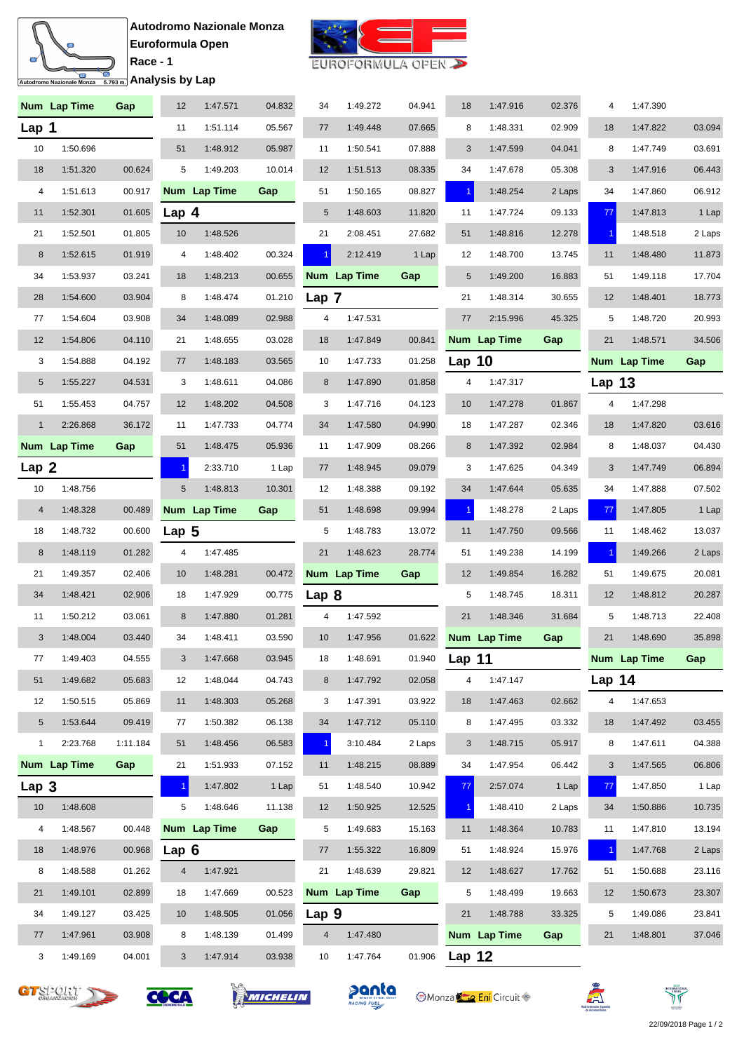



|  | EUROFORMULA OPEN |  |  |
|--|------------------|--|--|
|--|------------------|--|--|

|                | Num Lap Time | Gap      | 12               | 1:47.571     | 04.832 | 34             | 1:49.272     | 04.941        | 18                   | 1:47.916     | 02.376 | 4                    | 1:47.390     |        |
|----------------|--------------|----------|------------------|--------------|--------|----------------|--------------|---------------|----------------------|--------------|--------|----------------------|--------------|--------|
| Lap 1          |              |          | 11               | 1:51.114     | 05.567 | 77             | 1:49.448     | 07.665        | 8                    | 1:48.331     | 02.909 | 18                   | 1:47.822     | 03.094 |
| 10             | 1:50.696     |          | 51               | 1:48.912     | 05.987 | 11             | 1:50.541     | 07.888        | 3                    | 1:47.599     | 04.041 | 8                    | 1:47.749     | 03.691 |
| 18             | 1:51.320     | 00.624   | 5                | 1:49.203     | 10.014 | 12             | 1:51.513     | 08.335        | 34                   | 1:47.678     | 05.308 | 3                    | 1:47.916     | 06.443 |
| 4              | 1:51.613     | 00.917   |                  | Num Lap Time | Gap    | 51             | 1:50.165     | 08.827        | $\blacktriangleleft$ | 1:48.254     | 2 Laps | 34                   | 1:47.860     | 06.912 |
| 11             | 1:52.301     | 01.605   | Lap $4$          |              |        | 5              | 1:48.603     | 11.820        | 11                   | 1:47.724     | 09.133 | 77                   | 1:47.813     | 1 Lap  |
| 21             | 1:52.501     | 01.805   | 10               | 1:48.526     |        | 21             | 2:08.451     | 27.682        | 51                   | 1:48.816     | 12.278 | -1                   | 1:48.518     | 2 Laps |
| 8              | 1:52.615     | 01.919   | 4                | 1:48.402     | 00.324 | 1.             | 2:12.419     | 1 Lap         | 12                   | 1:48.700     | 13.745 | 11                   | 1:48.480     | 11.873 |
| 34             | 1:53.937     | 03.241   | 18               | 1:48.213     | 00.655 |                | Num Lap Time | Gap           | 5                    | 1:49.200     | 16.883 | 51                   | 1:49.118     | 17.704 |
| 28             | 1:54.600     | 03.904   | 8                | 1:48.474     | 01.210 | Lap 7          |              |               | 21                   | 1:48.314     | 30.655 | 12                   | 1:48.401     | 18.773 |
| 77             | 1:54.604     | 03.908   | 34               | 1:48.089     | 02.988 | 4              | 1:47.531     |               | 77                   | 2:15.996     | 45.325 | 5                    | 1:48.720     | 20.993 |
| 12             | 1:54.806     | 04.110   | 21               | 1:48.655     | 03.028 | 18             | 1:47.849     | 00.841        |                      | Num Lap Time | Gap    | 21                   | 1:48.571     | 34.506 |
| 3              | 1:54.888     | 04.192   | 77               | 1:48.183     | 03.565 | 10             | 1:47.733     | 01.258        | Lap $10$             |              |        |                      | Num Lap Time | Gap    |
| $\sqrt{5}$     | 1:55.227     | 04.531   | 3                | 1:48.611     | 04.086 | 8              | 1:47.890     | 01.858        | 4                    | 1:47.317     |        | <b>Lap 13</b>        |              |        |
| 51             | 1:55.453     | 04.757   | 12               | 1:48.202     | 04.508 | 3              | 1:47.716     | 04.123        | 10                   | 1:47.278     | 01.867 | 4                    | 1:47.298     |        |
| $\mathbf{1}$   | 2:26.868     | 36.172   | 11               | 1:47.733     | 04.774 | 34             | 1:47.580     | 04.990        | 18                   | 1:47.287     | 02.346 | 18                   | 1:47.820     | 03.616 |
|                | Num Lap Time | Gap      | 51               | 1:48.475     | 05.936 | 11             | 1:47.909     | 08.266        | 8                    | 1:47.392     | 02.984 | 8                    | 1:48.037     | 04.430 |
| Lap 2          |              |          |                  | 2:33.710     | 1 Lap  | 77             | 1:48.945     | 09.079        | 3                    | 1:47.625     | 04.349 | 3                    | 1:47.749     | 06.894 |
| 10             | 1:48.756     |          | 5                | 1:48.813     | 10.301 | 12             | 1:48.388     | 09.192        | 34                   | 1:47.644     | 05.635 | 34                   | 1:47.888     | 07.502 |
| $\overline{4}$ | 1:48.328     | 00.489   |                  | Num Lap Time | Gap    | 51             | 1:48.698     | 09.994        | $\vert$ 1            | 1:48.278     | 2 Laps | 77                   | 1:47.805     | 1 Lap  |
| 18             | 1:48.732     | 00.600   | Lap <sub>5</sub> |              |        | 5              | 1:48.783     | 13.072        | 11                   | 1:47.750     | 09.566 | 11                   | 1:48.462     | 13.037 |
| 8              | 1:48.119     | 01.282   | 4                | 1:47.485     |        | 21             | 1:48.623     | 28.774        | 51                   | 1:49.238     | 14.199 | $\blacktriangleleft$ | 1:49.266     | 2 Laps |
| 21             | 1:49.357     | 02.406   | 10               | 1:48.281     | 00.472 |                | Num Lap Time | Gap           | 12                   | 1:49.854     | 16.282 | 51                   | 1:49.675     | 20.081 |
| 34             | 1:48.421     | 02.906   | 18               | 1:47.929     | 00.775 | Lap 8          |              |               | 5                    | 1:48.745     | 18.311 | 12                   | 1:48.812     | 20.287 |
| 11             | 1:50.212     | 03.061   | 8                | 1:47.880     | 01.281 | 4              | 1:47.592     |               | 21                   | 1:48.346     | 31.684 | 5                    | 1:48.713     | 22.408 |
| 3              | 1:48.004     | 03.440   | 34               | 1:48.411     | 03.590 | 10             | 1:47.956     | 01.622        |                      | Num Lap Time | Gap    | 21                   | 1:48.690     | 35.898 |
| $77\,$         | 1:49.403     | 04.555   | 3 <sup>1</sup>   | 1:47.668     | 03.945 | 18             | 1:48.691     | 01.940 Lap 11 |                      |              |        |                      | Num Lap Time | Gap    |
| 51             | 1:49.682     | 05.683   | 12               | 1:48.044     | 04.743 | 8              | 1:47.792     | 02.058        | 4                    | 1:47.147     |        | Lap $14$             |              |        |
| 12             | 1:50.515     | 05.869   | 11               | 1:48.303     | 05.268 | 3              | 1:47.391     | 03.922        | 18                   | 1:47.463     | 02.662 | $\overline{4}$       | 1:47.653     |        |
| $\sqrt{5}$     | 1:53.644     | 09.419   | 77               | 1:50.382     | 06.138 | 34             | 1:47.712     | 05.110        | 8                    | 1:47.495     | 03.332 | 18                   | 1:47.492     | 03.455 |
| $\mathbf{1}$   | 2:23.768     | 1:11.184 | 51               | 1:48.456     | 06.583 |                | 3:10.484     | 2 Laps        | 3                    | 1:48.715     | 05.917 | 8                    | 1:47.611     | 04.388 |
|                | Num Lap Time | Gap      | 21               | 1:51.933     | 07.152 | 11             | 1:48.215     | 08.889        | 34                   | 1:47.954     | 06.442 | 3                    | 1:47.565     | 06.806 |
| Lap 3          |              |          | $\mathbf{1}$     | 1:47.802     | 1 Lap  | 51             | 1:48.540     | 10.942        | 77                   | 2:57.074     | 1 Lap  | 77                   | 1:47.850     | 1 Lap  |
| 10             | 1:48.608     |          | 5                | 1:48.646     | 11.138 | 12             | 1:50.925     | 12.525        | $\blacktriangleleft$ | 1:48.410     | 2 Laps | 34                   | 1:50.886     | 10.735 |
| $\overline{4}$ | 1:48.567     | 00.448   |                  | Num Lap Time | Gap    | 5              | 1:49.683     | 15.163        | 11                   | 1:48.364     | 10.783 | 11                   | 1:47.810     | 13.194 |
| 18             | 1:48.976     | 00.968   | Lap $6$          |              |        | 77             | 1:55.322     | 16.809        | 51                   | 1:48.924     | 15.976 | $\mathbf{1}$         | 1:47.768     | 2 Laps |
| 8              | 1:48.588     | 01.262   | 4                | 1:47.921     |        | 21             | 1:48.639     | 29.821        | 12                   | 1:48.627     | 17.762 | 51                   | 1:50.688     | 23.116 |
| 21             | 1:49.101     | 02.899   | 18               | 1:47.669     | 00.523 |                | Num Lap Time | Gap           | 5                    | 1:48.499     | 19.663 | 12                   | 1:50.673     | 23.307 |
| 34             | 1:49.127     | 03.425   | 10               | 1:48.505     | 01.056 | Lap 9          |              |               | 21                   | 1:48.788     | 33.325 | 5                    | 1:49.086     | 23.841 |
| 77             | 1:47.961     | 03.908   | 8                | 1:48.139     | 01.499 | $\overline{4}$ | 1:47.480     |               |                      | Num Lap Time | Gap    | 21                   | 1:48.801     | 37.046 |
| 3              | 1:49.169     | 04.001   | 3                | 1:47.914     | 03.938 | 10             | 1:47.764     | 01.906        | Lap $12$             |              |        |                      |              |        |











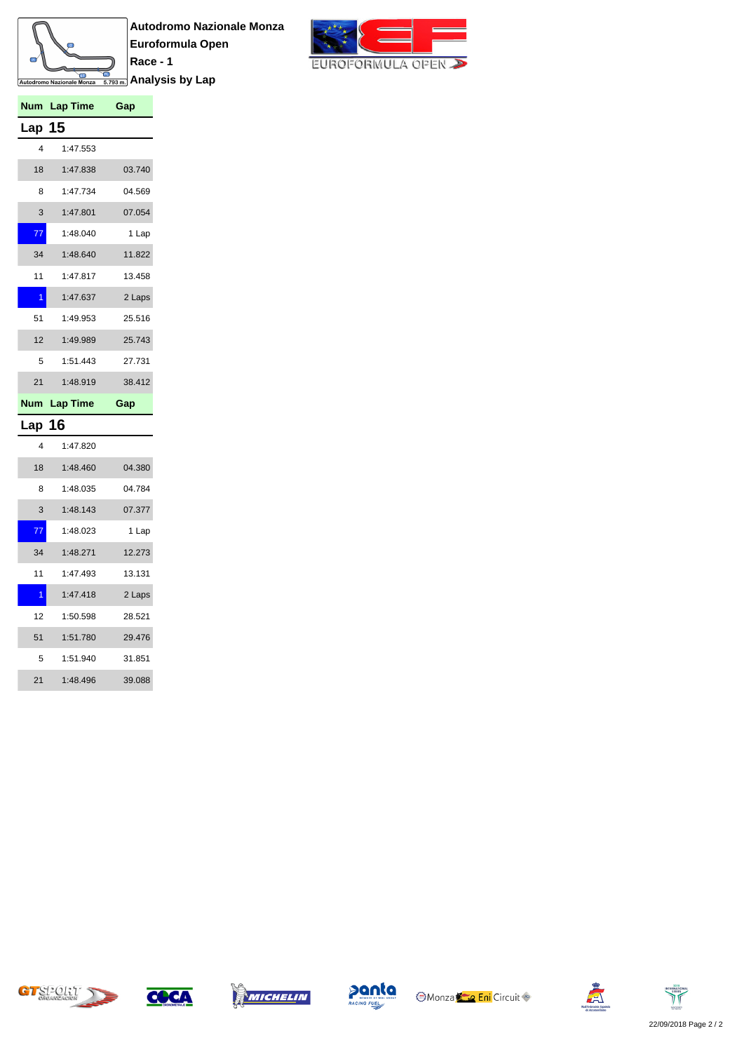

**Autodromo Nazionale Monza Euroformula Open Race - 1** <u><del>ြေ</del><br>கணைக்</u> Analysis by Lap



| Num           | <b>Lap Time</b> | Gap    |
|---------------|-----------------|--------|
| <b>Lap 15</b> |                 |        |
| 4             | 1:47.553        |        |
| 18            | 1:47.838        | 03.740 |
| 8             | 1:47.734        | 04.569 |
| 3             | 1:47.801        | 07.054 |
| 77            | 1:48.040        | 1 Lap  |
| 34            | 1:48.640        | 11.822 |
| 11            | 1:47.817        | 13.458 |
| 1             | 1:47.637        | 2 Laps |
| 51            | 1:49.953        | 25.516 |
| 12            | 1:49.989        | 25.743 |
| 5             | 1:51.443        | 27.731 |
| 21            | 1:48.919        | 38.412 |
|               | Num Lap Time    | Gap    |
| Lap 16        |                 |        |
| 4             | 1:47.820        |        |
| 18            | 1:48.460        | 04.380 |
| 8             | 1:48.035        | 04.784 |
| 3             | 1:48.143        | 07.377 |

| 18             | 1:48.460 | 04.380 |
|----------------|----------|--------|
| 8              | 1:48.035 | 04.784 |
| 3              | 1:48.143 | 07.377 |
| 77             | 1:48.023 | 1 Lap  |
| 34             | 1:48.271 | 12.273 |
| 11             | 1:47.493 | 13.131 |
| $\overline{1}$ | 1:47.418 | 2 Laps |
| 12             | 1:50.598 | 28.521 |
| 51             | 1:51.780 | 29.476 |
| 5              | 1:51.940 | 31.851 |
| 21             | 1:48.496 | 39.088 |





![](_page_8_Picture_7.jpeg)

![](_page_8_Picture_8.jpeg)

![](_page_8_Picture_10.jpeg)

![](_page_8_Picture_11.jpeg)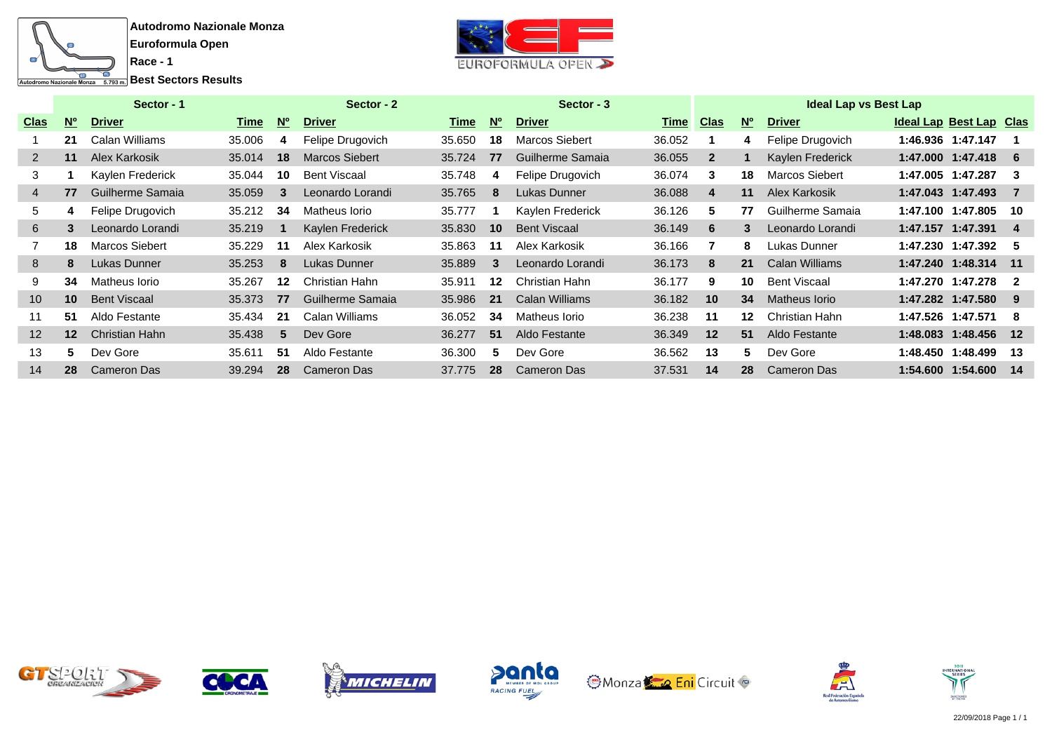![](_page_9_Picture_0.jpeg)

**Race - 1**

![](_page_9_Picture_3.jpeg)

|                 |                             | Sector - 1            |        |           | Sector - 2            |        |                 | Sector - 3          |             |              |           | <b>Ideal Lap vs Best Lap</b> |                         |                |
|-----------------|-----------------------------|-----------------------|--------|-----------|-----------------------|--------|-----------------|---------------------|-------------|--------------|-----------|------------------------------|-------------------------|----------------|
| <u>Clas</u>     | $\overline{\mathsf{M}_{0}}$ | <b>Driver</b>         | Time   | <b>No</b> | <b>Driver</b>         | Time   | <b>No</b>       | <b>Driver</b>       | <u>Time</u> | <u>Clas</u>  | <b>No</b> | <b>Driver</b>                | Ideal Lap Best Lap Clas |                |
|                 | 21                          | Calan Williams        | 35.006 | 4         | Felipe Drugovich      | 35.650 | 18              | Marcos Siebert      | 36.052      |              | 4         | Felipe Drugovich             | 1:46.936 1:47.147       |                |
| 2               | 11                          | Alex Karkosik         | 35.014 | 18        | <b>Marcos Siebert</b> | 35.724 | 77              | Guilherme Samaia    | 36.055      | $\mathbf{2}$ | 1         | Kaylen Frederick             | 1:47.000 1:47.418       | - 6            |
| 3               |                             | Kaylen Frederick      | 35.044 | 10        | <b>Bent Viscaal</b>   | 35.748 | 4               | Felipe Drugovich    | 36.074      | 3            | 18        | <b>Marcos Siebert</b>        | 1:47.005 1:47.287       | -3             |
| 4               | 77                          | Guilherme Samaia      | 35.059 | 3         | Leonardo Lorandi      | 35.765 | 8               | Lukas Dunner        | 36.088      | 4            | 11        | Alex Karkosik                | 1:47.043 1:47.493       | - 7            |
| 5               | 4                           | Felipe Drugovich      | 35.212 | 34        | Matheus Iorio         | 35.777 |                 | Kaylen Frederick    | 36.126      | 5.           | 77        | Guilherme Samaia             | 1:47.100 1:47.805       | -10            |
| 6               | 3                           | Leonardo Lorandi      | 35.219 |           | Kaylen Frederick      | 35.830 | 10 <sup>°</sup> | <b>Bent Viscaal</b> | 36.149      | 6            | 3         | Leonardo Lorandi             | 1:47.157 1:47.391       | 4              |
|                 | 18                          | <b>Marcos Siebert</b> | 35.229 | 11        | Alex Karkosik         | 35.863 | 11              | Alex Karkosik       | 36.166      |              | 8         | Lukas Dunner                 | 1:47.230 1:47.392       | -5             |
| 8               | 8                           | Lukas Dunner          | 35.253 | 8         | Lukas Dunner          | 35.889 | 3               | Leonardo Lorandi    | 36.173      | 8            | 21        | Calan Williams               | 1:47.240 1:48.314       | $-11$          |
| 9               | 34                          | Matheus Iorio         | 35.267 | 12        | Christian Hahn        | 35.911 | 12              | Christian Hahn      | 36.177      | 9            | 10        | <b>Bent Viscaal</b>          | 1:47.270 1:47.278       | $\overline{2}$ |
| 10 <sup>°</sup> | 10                          | <b>Bent Viscaal</b>   | 35.373 | 77        | Guilherme Samaia      | 35.986 | 21              | Calan Williams      | 36.182      | 10           | 34        | Matheus Iorio                | 1:47.282 1:47.580       | -9             |
| 11              | 51                          | Aldo Festante         | 35.434 | 21        | Calan Williams        | 36.052 | 34              | Matheus Iorio       | 36.238      | 11           | 12        | Christian Hahn               | 1:47.526 1:47.571       | -8             |
| 12              | $12 \ \mathrm{$             | Christian Hahn        | 35.438 | 5         | Dev Gore              | 36.277 | 51              | Aldo Festante       | 36.349      | 12           | 51        | Aldo Festante                | 1:48.083 1:48.456       | $-12$          |
| 13              | 5.                          | Dev Gore              | 35.611 | 51        | Aldo Festante         | 36,300 | 5.              | Dev Gore            | 36.562      | 13           | 5.        | Dev Gore                     | 1:48.450 1:48.499       | -13            |
| 14              | 28                          | Cameron Das           | 39.294 | 28        | <b>Cameron Das</b>    | 37.775 | 28              | <b>Cameron Das</b>  | 37.531      | 14           | 28        | Cameron Das                  | 1:54.600 1:54.600       | - 14           |

![](_page_9_Picture_5.jpeg)

![](_page_9_Picture_6.jpeg)

![](_page_9_Picture_7.jpeg)

![](_page_9_Picture_8.jpeg)

![](_page_9_Picture_9.jpeg)

![](_page_9_Picture_10.jpeg)

![](_page_9_Picture_11.jpeg)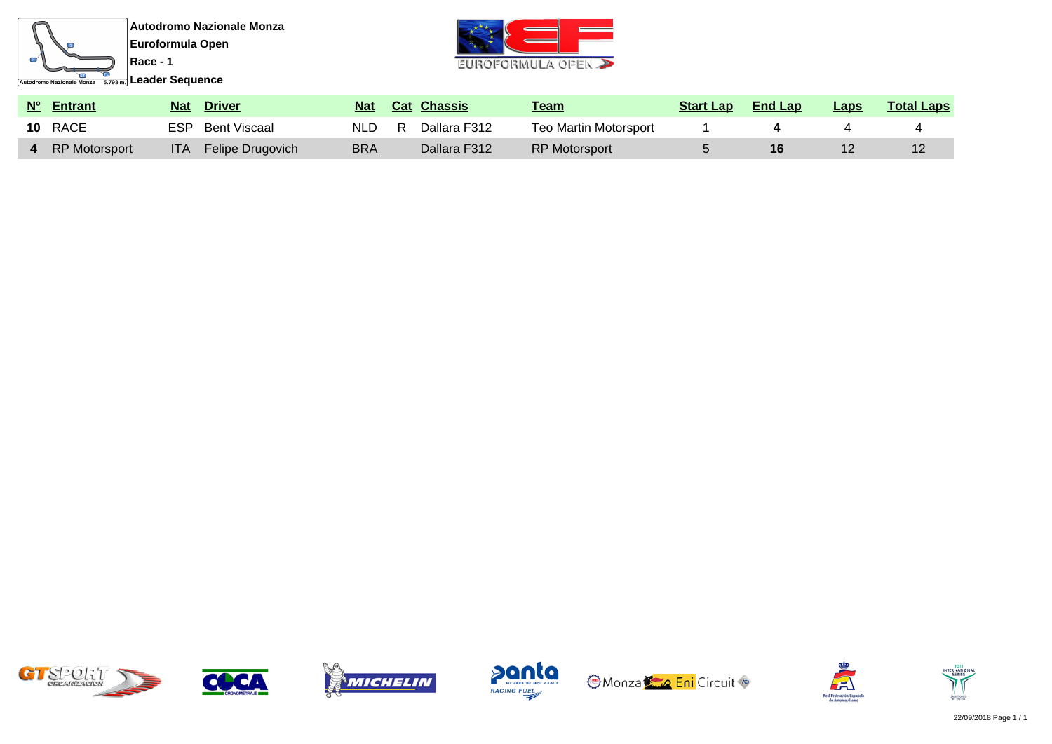![](_page_10_Picture_0.jpeg)

![](_page_10_Picture_3.jpeg)

| Nº Entrant      | <b>Nat</b> | <b>Driver</b>    | <b>Nat</b> |    | <b>Cat Chassis</b> | Team                  | <b>Start Lap</b> | <b>End Lap</b> | <b>Laps</b> | <b>Total Laps</b> |
|-----------------|------------|------------------|------------|----|--------------------|-----------------------|------------------|----------------|-------------|-------------------|
| <b>10 RACE</b>  | ESP        | Bent Viscaal     | NLD.       | R. | Dallara F312       | Teo Martin Motorsport |                  |                |             |                   |
| 4 RP Motorsport | <b>ITA</b> | Felipe Drugovich | <b>BRA</b> |    | Dallara F312       | <b>RP Motorsport</b>  |                  |                |             |                   |

![](_page_10_Picture_5.jpeg)

![](_page_10_Picture_6.jpeg)

![](_page_10_Picture_7.jpeg)

![](_page_10_Picture_8.jpeg)

![](_page_10_Picture_9.jpeg)

![](_page_10_Picture_10.jpeg)

![](_page_10_Picture_11.jpeg)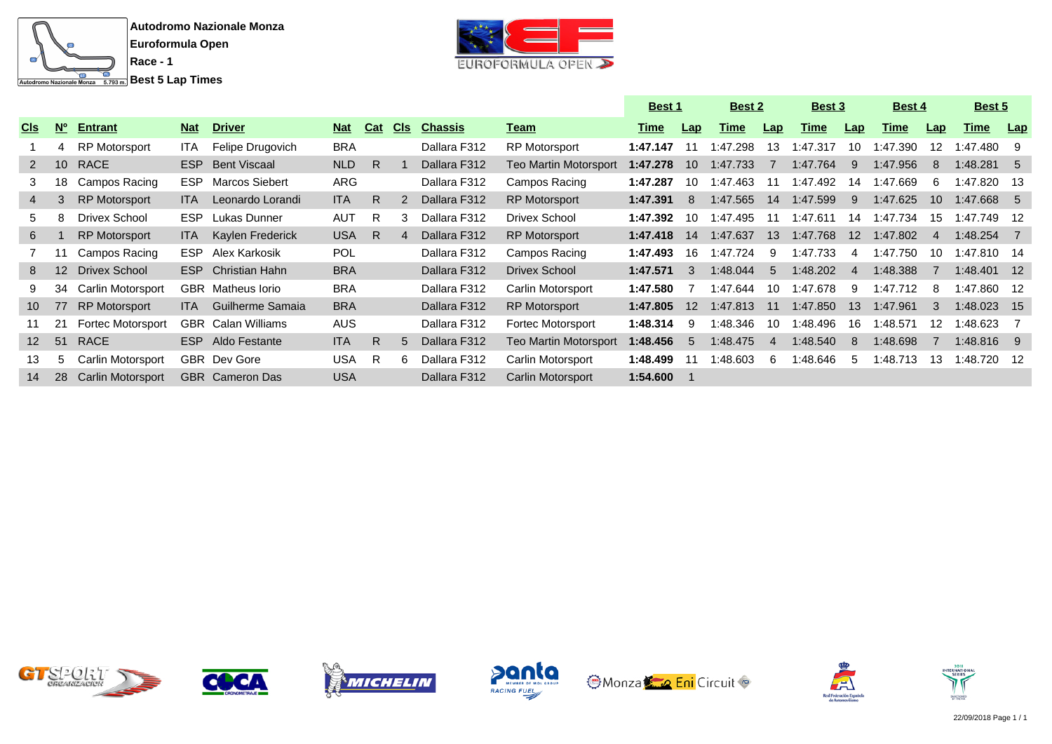![](_page_11_Picture_0.jpeg)

![](_page_11_Picture_3.jpeg)

|                 |                  |                          |            |                           |            |            |            |                |                          | <b>Best 1</b> |                  | <b>Best 2</b> |                  | Best 3      |                  | Best 4      |                 | Best 5       |      |
|-----------------|------------------|--------------------------|------------|---------------------------|------------|------------|------------|----------------|--------------------------|---------------|------------------|---------------|------------------|-------------|------------------|-------------|-----------------|--------------|------|
| <u>Cls</u>      | $\overline{W_0}$ | <b>Entrant</b>           | <b>Nat</b> | <b>Driver</b>             | <b>Nat</b> | <b>Cat</b> | <u>CIs</u> | <b>Chassis</b> | <u>Team</u>              | <u>Time</u>   | Lap              | Time          | Lap <sub>L</sub> | <u>Time</u> | Lap              | <u>Time</u> | <u>Lap</u>      | <u>Time</u>  | Lap  |
|                 | 4                | <b>RP Motorsport</b>     | ITA        | Felipe Drugovich          | <b>BRA</b> |            |            | Dallara F312   | <b>RP Motorsport</b>     | 1:47.147      | 11               | 1:47.298      | 13               | 1:47.317    | 10               | 1:47.390    | 12              | 1:47.480     | - 9  |
| $2^{\circ}$     | 10 <sup>°</sup>  | <b>RACE</b>              | ESP.       | <b>Bent Viscaal</b>       | NLD        | R.         |            | Dallara F312   | Teo Martin Motorsport    | 1:47.278      | 10               | 1:47.733      |                  | 1:47.764    | -9               | 1:47.956    | 8               | 1:48.281     | - 5  |
| 3               | 18               | Campos Racing            | <b>ESP</b> | <b>Marcos Siebert</b>     | ARG        |            |            | Dallara F312   | Campos Racing            | 1:47.287      | 10.              | 1:47.463      | 11               | 1:47.492    | 14               | 1:47.669    | -6              | 1:47.820 13  |      |
| 4               | 3                | <b>RP Motorsport</b>     | <b>ITA</b> | Leonardo Lorandi          | <b>ITA</b> | R          |            | Dallara F312   | <b>RP Motorsport</b>     | 1:47.391      | 8                | 1:47.565      | 14               | 1:47.599    | -9               | 1:47.625    | 10 <sup>1</sup> | 1:47.668 5   |      |
| 5.              |                  | Drivex School            | <b>ESP</b> | Lukas Dunner              | <b>AUT</b> | R          | 3          | Dallara F312   | Drivex School            | 1:47.392      | 10               | 1:47.495      | 11               | 1:47.611    | 14               | 1:47.734    |                 | 1:47.749     | - 12 |
| 6               |                  | <b>RP Motorsport</b>     | ITA.       | Kaylen Frederick          | <b>USA</b> | R.         | 4          | Dallara F312   | <b>RP Motorsport</b>     | 1:47.418      | 14               | 1:47.637      | 13 <sup>°</sup>  | 1:47.768    | 12 <sup>12</sup> | 1:47.802    | $\overline{4}$  | $1:48.254$ 7 |      |
|                 |                  | Campos Racing            | <b>ESP</b> | Alex Karkosik             | <b>POL</b> |            |            | Dallara F312   | Campos Racing            | 1:47.493      | 16.              | 1:47.724      | -9               | 1:47.733    | 4                | 1:47.750    | 10              | 1:47.810 14  |      |
| 8               | 12 <sup>2</sup>  | <b>Drivex School</b>     | ESP.       | <b>Christian Hahn</b>     | <b>BRA</b> |            |            | Dallara F312   | <b>Drivex School</b>     | 1:47.571      | 3                | 1:48.044      | $\overline{5}$   | 1:48.202    | -4               | 1:48.388    |                 | 1:48.401 12  |      |
|                 | 34               | Carlin Motorsport        |            | <b>GBR</b> Matheus lorio  | <b>BRA</b> |            |            | Dallara F312   | Carlin Motorsport        | 1:47.580      | $\overline{7}$   | 1:47.644      | 10               | 1:47.678    | - 9              | 1:47.712    | - 8             | 1:47.860 12  |      |
| 10 <sup>1</sup> | 77               | <b>RP Motorsport</b>     | ITA I      | Guilherme Samaia          | <b>BRA</b> |            |            | Dallara F312   | <b>RP Motorsport</b>     | 1:47.805      | 12 <sup>12</sup> | 1:47.813      | 11               | 1:47.850    | 13               | 1:47.961    | 3               | 1:48.023 15  |      |
| 11              | 21               | <b>Fortec Motorsport</b> |            | <b>GBR</b> Calan Williams | <b>AUS</b> |            |            | Dallara F312   | Fortec Motorsport        | 1:48.314      | 9                | :48.346       | 10.              | :48.496     | 16.              | 1:48.571    | 12              | :48.623      |      |
| 12 <sup>2</sup> | 51               | <b>RACE</b>              |            | ESP Aldo Festante         | <b>ITA</b> | R.         | 5          | Dallara F312   | Teo Martin Motorsport    | 1:48.456      | -5               | 1:48.475      | 4                | 1:48.540    | -8               | 1:48.698    |                 | $1:48.816$ 9 |      |
| 13              | 5                | Carlin Motorsport        |            | <b>GBR</b> Dev Gore       | <b>USA</b> | R          | 6          | Dallara F312   | Carlin Motorsport        | 1:48.499      |                  | :48.603       | -6               | :48.646     | .b               | 1:48.713    | 13              | $:48.720$ 12 |      |
| 14              | 28               | <b>Carlin Motorsport</b> |            | <b>GBR</b> Cameron Das    | USA        |            |            | Dallara F312   | <b>Carlin Motorsport</b> | 1:54.600      |                  |               |                  |             |                  |             |                 |              |      |

![](_page_11_Picture_5.jpeg)

![](_page_11_Picture_6.jpeg)

![](_page_11_Picture_7.jpeg)

![](_page_11_Picture_8.jpeg)

![](_page_11_Picture_9.jpeg)

![](_page_11_Picture_10.jpeg)

![](_page_11_Picture_11.jpeg)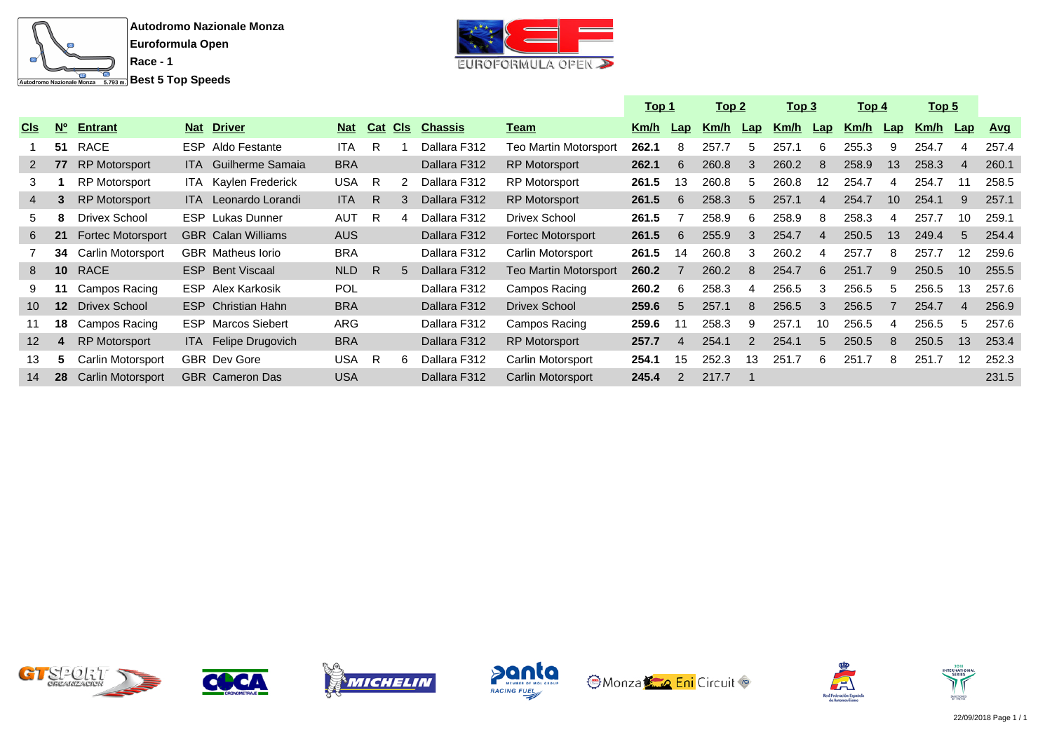![](_page_12_Picture_0.jpeg)

![](_page_12_Picture_3.jpeg)

|                 |                 |                          |            |                             |            |     |            |                |                          | <u> Top 1</u> |                | <u> Top 2</u> |     | <u> Top 3</u> |                 | <u> Top 4</u> |     | <u>Top 5</u> |                 |            |
|-----------------|-----------------|--------------------------|------------|-----------------------------|------------|-----|------------|----------------|--------------------------|---------------|----------------|---------------|-----|---------------|-----------------|---------------|-----|--------------|-----------------|------------|
| <b>CIS</b>      | N <sup>o</sup>  | <b>Entrant</b>           | <b>Nat</b> | <b>Driver</b>               | <b>Nat</b> | Cat | <b>CIS</b> | <b>Chassis</b> | <u>Team</u>              | Km/h          | Lap            | Km/h          | Lap | Km/h          | Lap             | Km/h          | Lap | <u>Km/h</u>  | $\mathsf{Lap}$  | <u>Avq</u> |
|                 | 51              | RACE                     |            | <b>ESP</b> Aldo Festante    | <b>ITA</b> | R   |            | Dallara F312   | Teo Martin Motorsport    | 262.1         | 8              | 257.7         | 5   | 257.1         | 6               | 255.3         | 9   | 254.7        | 4               | 257.4      |
| $2^{\circ}$     | 77              | <b>RP Motorsport</b>     |            | <b>ITA</b> Guilherme Samaia | <b>BRA</b> |     |            | Dallara F312   | <b>RP Motorsport</b>     | 262.1         | 6              | 260.8         | 3   | 260.2         | 8               | 258.9         | 13  | 258.3        | $\overline{4}$  | 260.1      |
| 3               |                 | RP Motorsport            |            | <b>ITA</b> Kaylen Frederick | <b>USA</b> | R   |            | Dallara F312   | <b>RP Motorsport</b>     | 261.5         | 13             | 260.8         | 5   | 260.8         | 12 <sup>°</sup> | 254.7         | 4   | 254.7        | 11              | 258.5      |
| 4               | 3               | <b>RP Motorsport</b>     |            | ITA Leonardo Lorandi        | <b>ITA</b> | R   |            | Dallara F312   | <b>RP Motorsport</b>     | 261.5         | 6              | 258.3         | 5   | 257.1         | 4               | 254.7         | 10  | 254.1        | 9               | 257.1      |
| 5.              | 8               | Drivex School            |            | <b>ESP</b> Lukas Dunner     | <b>AUT</b> | R   |            | Dallara F312   | Drivex School            | 261.5         |                | 258.9         | 6   | 258.9         | 8               | 258.3         | 4   | 257.7        | 10              | 259.1      |
| 6               | 21              | <b>Fortec Motorsport</b> |            | <b>GBR</b> Calan Williams   | <b>AUS</b> |     |            | Dallara F312   | <b>Fortec Motorsport</b> | 261.5         | 6              | 255.9         | 3   | 254.7         | 4               | 250.5         | 13  | 249.4        | 5               | 254.4      |
|                 | 34              | <b>Carlin Motorsport</b> |            | <b>GBR</b> Matheus lorio    | <b>BRA</b> |     |            | Dallara F312   | Carlin Motorsport        | 261.5         | 14             | 260.8         | 3   | 260.2         | 4               | 257.7         | 8   | 257.7        | 12              | 259.6      |
| 8               | 10 <sup>°</sup> | <b>RACE</b>              |            | <b>ESP</b> Bent Viscaal     | NLD        | -R  | 5.         | Dallara F312   | Teo Martin Motorsport    | 260.2         |                | 260.2         | 8   | 254.7         | 6               | 251.7         | 9   | 250.5        | 10 <sup>1</sup> | 255.5      |
| 9               | 11              | Campos Racing            |            | <b>ESP</b> Alex Karkosik    | POL        |     |            | Dallara F312   | Campos Racing            | 260.2         | 6              | 258.3         | 4   | 256.5         | 3               | 256.5         | 5   | 256.5        | 13              | 257.6      |
| 10 <sup>°</sup> | 12 <sup>2</sup> | <b>Drivex School</b>     |            | <b>ESP</b> Christian Hahn   | <b>BRA</b> |     |            | Dallara F312   | <b>Drivex School</b>     | 259.6         | 5              | 257.1         | 8   | 256.5         | 3               | 256.5         |     | 254.7        | $\overline{4}$  | 256.9      |
| 11              | 18              | Campos Racing            |            | <b>ESP</b> Marcos Siebert   | ARG        |     |            | Dallara F312   | Campos Racing            | 259.6         |                | 258.3         | 9   | 257.1         | 10              | 256.5         | 4   | 256.5        | 5               | 257.6      |
| 12 <sup>2</sup> | 4               | <b>RP Motorsport</b>     |            | ITA Felipe Drugovich        | <b>BRA</b> |     |            | Dallara F312   | <b>RP Motorsport</b>     | 257.7         | $\overline{4}$ | 254.1         |     | 254.1         | 5               | 250.5         | 8   | 250.5        | 13              | 253.4      |
| 13              | 5               | Carlin Motorsport        |            | <b>GBR</b> Dev Gore         | USA.       | - R | 6.         | Dallara F312   | Carlin Motorsport        | 254.1         | 15             | 252.3         | 13  | 251.7         | 6               | 251.7         | 8   | 251.7        | 12              | 252.3      |
| 14              | 28              | <b>Carlin Motorsport</b> |            | <b>GBR</b> Cameron Das      | <b>USA</b> |     |            | Dallara F312   | <b>Carlin Motorsport</b> | 245.4         | $\mathcal{P}$  | 217.7         |     |               |                 |               |     |              |                 | 231.5      |

![](_page_12_Picture_5.jpeg)

![](_page_12_Picture_6.jpeg)

![](_page_12_Picture_7.jpeg)

![](_page_12_Picture_8.jpeg)

![](_page_12_Picture_9.jpeg)

![](_page_12_Picture_10.jpeg)

![](_page_12_Picture_11.jpeg)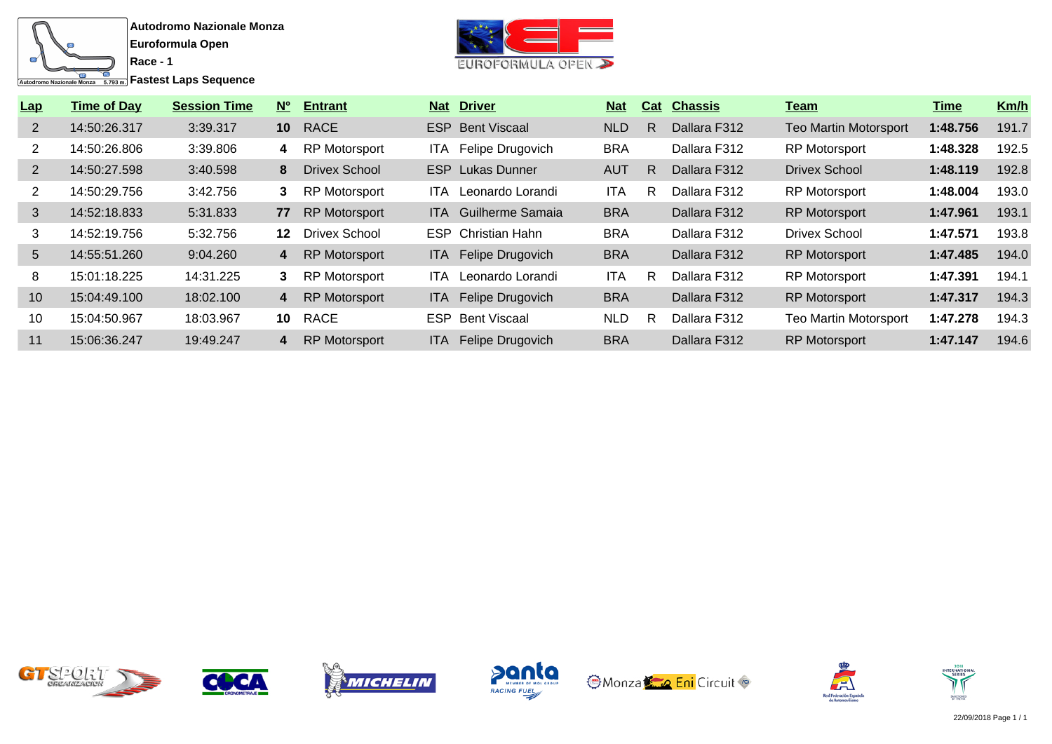![](_page_13_Figure_0.jpeg)

**Fastest Laps Sequence** 

**Race - 1**

![](_page_13_Picture_3.jpeg)

| Lap             | <b>Time of Day</b> | <b>Session Time</b> | $N^{\circ}$     | <b>Entrant</b>       |       | <b>Nat Driver</b>           | <b>Nat</b> | Cat | <b>Chassis</b> | <u>Team</u>                  | Time     | Km/h  |
|-----------------|--------------------|---------------------|-----------------|----------------------|-------|-----------------------------|------------|-----|----------------|------------------------------|----------|-------|
| $\overline{2}$  | 14:50:26.317       | 3:39.317            | 10 <sup>°</sup> | RACE                 |       | <b>ESP</b> Bent Viscaal     | <b>NLD</b> | R   | Dallara F312   | <b>Teo Martin Motorsport</b> | 1:48.756 | 191.7 |
|                 | 14:50:26.806       | 3:39.806            | 4               | RP Motorsport        | ITA.  | Felipe Drugovich            | <b>BRA</b> |     | Dallara F312   | <b>RP Motorsport</b>         | 1:48.328 | 192.5 |
| $\overline{2}$  | 14:50:27.598       | 3:40.598            | 8               | <b>Drivex School</b> |       | <b>ESP</b> Lukas Dunner     | <b>AUT</b> | R.  | Dallara F312   | <b>Drivex School</b>         | 1:48.119 | 192.8 |
| 2               | 14:50:29.756       | 3:42.756            | 3               | <b>RP Motorsport</b> | ITA.  | Leonardo Lorandi            | <b>ITA</b> | R   | Dallara F312   | <b>RP Motorsport</b>         | 1:48.004 | 193.0 |
| 3               | 14:52:18.833       | 5:31.833            | 77              | <b>RP Motorsport</b> |       | <b>ITA</b> Guilherme Samaia | <b>BRA</b> |     | Dallara F312   | <b>RP Motorsport</b>         | 1:47.961 | 193.1 |
| 3               | 14:52:19.756       | 5:32.756            | 12 <sup>1</sup> | <b>Drivex School</b> |       | <b>ESP</b> Christian Hahn   | <b>BRA</b> |     | Dallara F312   | <b>Drivex School</b>         | 1:47.571 | 193.8 |
| $5\overline{)}$ | 14:55:51.260       | 9:04.260            | 4               | <b>RP Motorsport</b> |       | ITA Felipe Drugovich        | <b>BRA</b> |     | Dallara F312   | <b>RP Motorsport</b>         | 1:47.485 | 194.0 |
| 8               | 15:01:18.225       | 14:31.225           | 3               | <b>RP Motorsport</b> | ITA.  | Leonardo Lorandi            | <b>ITA</b> | R   | Dallara F312   | <b>RP Motorsport</b>         | 1:47.391 | 194.1 |
| 10              | 15:04:49.100       | 18:02.100           | 4               | <b>RP Motorsport</b> | ITA.  | Felipe Drugovich            | <b>BRA</b> |     | Dallara F312   | <b>RP Motorsport</b>         | 1:47.317 | 194.3 |
| 10              | 15:04:50.967       | 18:03.967           | 10              | RACE                 |       | <b>ESP</b> Bent Viscaal     | NLD.       | R   | Dallara F312   | <b>Teo Martin Motorsport</b> | 1:47.278 | 194.3 |
| 11              | 15:06:36.247       | 19:49.247           | 4               | <b>RP Motorsport</b> | ITA I | Felipe Drugovich            | <b>BRA</b> |     | Dallara F312   | <b>RP Motorsport</b>         | 1:47.147 | 194.6 |

![](_page_13_Picture_5.jpeg)

![](_page_13_Picture_6.jpeg)

![](_page_13_Picture_7.jpeg)

![](_page_13_Picture_8.jpeg)

![](_page_13_Picture_9.jpeg)

![](_page_13_Picture_10.jpeg)

![](_page_13_Picture_11.jpeg)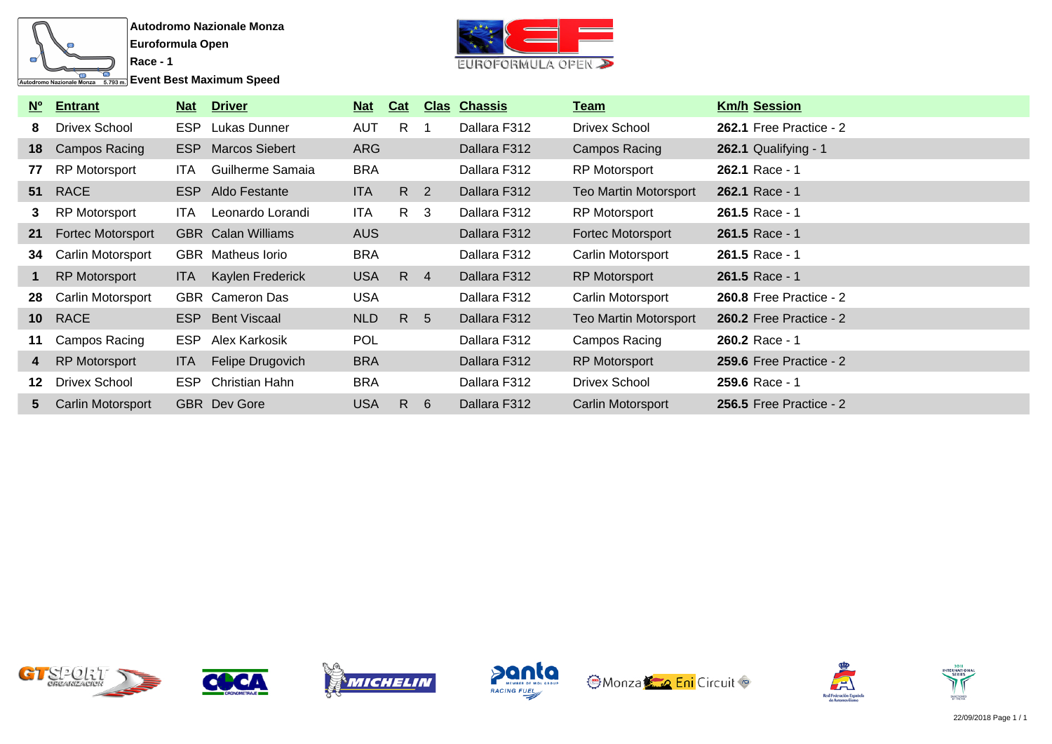![](_page_14_Figure_0.jpeg)

**Race - 1**

**Event Best Maximum Speed** 

![](_page_14_Picture_3.jpeg)

| <b>No</b>       | <b>Entrant</b>           | <u>Nat</u> | <b>Driver</b>               | <u>Nat</u> | Cat             | <b>Clas</b>    | <b>Chassis</b> | <u>Team</u>                  | <b>Km/h Session</b>            |
|-----------------|--------------------------|------------|-----------------------------|------------|-----------------|----------------|----------------|------------------------------|--------------------------------|
| 8.              | <b>Drivex School</b>     | ESP        | Lukas Dunner                | <b>AUT</b> | $\mathsf{R}$    | $\overline{1}$ | Dallara F312   | Drivex School                | <b>262.1 Free Practice - 2</b> |
| 18              | Campos Racing            |            | <b>ESP</b> Marcos Siebert   | <b>ARG</b> |                 |                | Dallara F312   | Campos Racing                | $262.1$ Qualifying - 1         |
| 77              | <b>RP Motorsport</b>     | ITA I      | Guilherme Samaia            | <b>BRA</b> |                 |                | Dallara F312   | <b>RP Motorsport</b>         | 262.1 Race - 1                 |
| 51              | <b>RACE</b>              |            | ESP Aldo Festante           | <b>ITA</b> | R <sub>2</sub>  |                | Dallara F312   | <b>Teo Martin Motorsport</b> | 262.1 Race - 1                 |
| 3.              | <b>RP Motorsport</b>     | ITA.       | Leonardo Lorandi            | ITA.       | R 3             |                | Dallara F312   | <b>RP Motorsport</b>         | 261.5 Race - 1                 |
| 21              | <b>Fortec Motorsport</b> |            | <b>GBR</b> Calan Williams   | AUS        |                 |                | Dallara F312   | Fortec Motorsport            | $261.5$ Race - 1               |
| 34              | Carlin Motorsport        |            | <b>GBR</b> Matheus lorio    | <b>BRA</b> |                 |                | Dallara F312   | Carlin Motorsport            | 261.5 Race - 1                 |
|                 | <b>RP Motorsport</b>     |            | <b>ITA</b> Kaylen Frederick | <b>USA</b> | $R$ 4           |                | Dallara F312   | <b>RP Motorsport</b>         | 261.5 Race - 1                 |
| 28              | Carlin Motorsport        |            | <b>GBR</b> Cameron Das      | <b>USA</b> |                 |                | Dallara F312   | Carlin Motorsport            | <b>260.8 Free Practice - 2</b> |
| 10 <sup>1</sup> | <b>RACE</b>              |            | <b>ESP</b> Bent Viscaal     | <b>NLD</b> | R               | $-5$           | Dallara F312   | <b>Teo Martin Motorsport</b> | <b>260.2 Free Practice - 2</b> |
| 11              | Campos Racing            | ESP        | Alex Karkosik               | <b>POL</b> |                 |                | Dallara F312   | Campos Racing                | 260.2 Race - 1                 |
| $4^{\circ}$     | <b>RP Motorsport</b>     | ITA.       | Felipe Drugovich            | <b>BRA</b> |                 |                | Dallara F312   | <b>RP Motorsport</b>         | <b>259.6 Free Practice - 2</b> |
| 12              | Drivex School            | ESP        | Christian Hahn              | <b>BRA</b> |                 |                | Dallara F312   | Drivex School                | 259.6 Race - 1                 |
| 5.              | Carlin Motorsport        |            | <b>GBR</b> Dev Gore         | <b>USA</b> | $R_{\parallel}$ | -6             | Dallara F312   | Carlin Motorsport            | 256.5 Free Practice - $2$      |

![](_page_14_Picture_5.jpeg)

![](_page_14_Picture_6.jpeg)

![](_page_14_Picture_7.jpeg)

![](_page_14_Picture_8.jpeg)

![](_page_14_Picture_9.jpeg)

![](_page_14_Picture_10.jpeg)

![](_page_14_Picture_11.jpeg)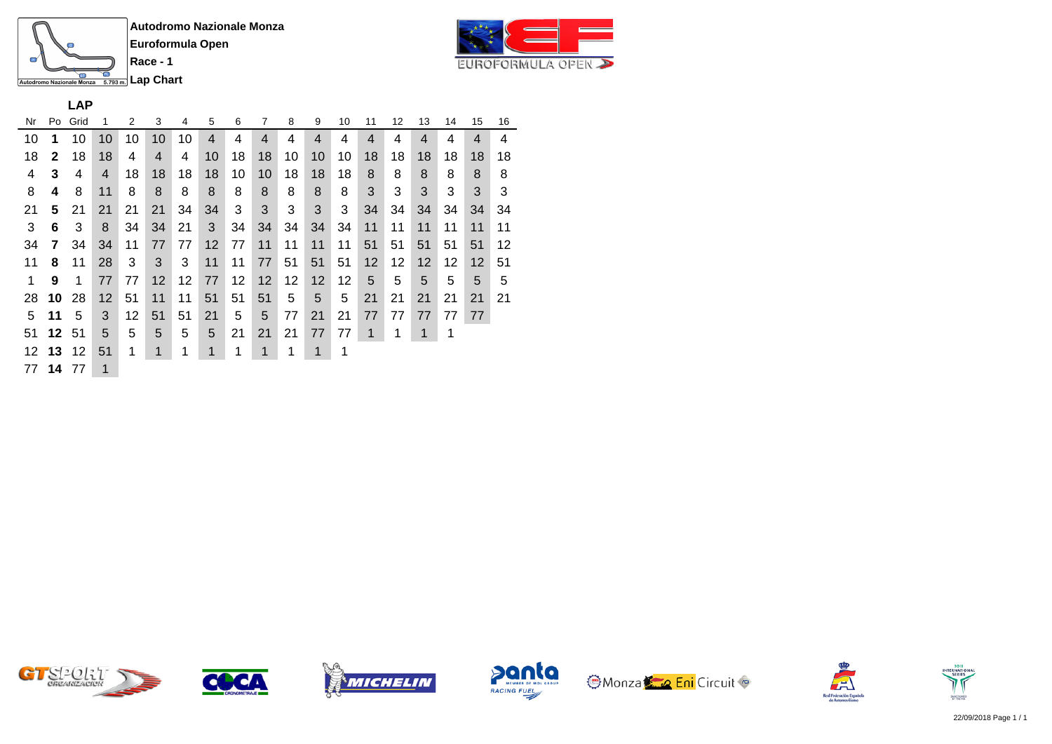![](_page_15_Picture_0.jpeg)

**Race - 1**

![](_page_15_Picture_3.jpeg)

**LAP**

| Nr | Po           | Grid | 1            | 2  | 3                 | 4  | 5  | 6  | 7  | 8  | 9  | 10 | 11 | 12 | 13 | 14 | 15 | 16 |
|----|--------------|------|--------------|----|-------------------|----|----|----|----|----|----|----|----|----|----|----|----|----|
| 10 | 1            | 10   | 10           | 10 | 10                | 10 | 4  | 4  | 4  | 4  | 4  | 4  | 4  | 4  | 4  | 4  | 4  | 4  |
| 18 | $\mathbf{2}$ | 18   | 18           | 4  | $\overline{4}$    | 4  | 10 | 18 | 18 | 10 | 10 | 10 | 18 | 18 | 18 | 18 | 18 | 18 |
| 4  | 3            | 4    | 4            | 18 | 18                | 18 | 18 | 10 | 10 | 18 | 18 | 18 | 8  | 8  | 8  | 8  | 8  | 8  |
| 8  | 4            | 8    | 11           | 8  | 8                 | 8  | 8  | 8  | 8  | 8  | 8  | 8  | 3  | 3  | 3  | 3  | 3  | 3  |
| 21 | 5            | 21   | 21           | 21 | 21                | 34 | 34 | 3  | 3  | 3  | 3  | 3  | 34 | 34 | 34 | 34 | 34 | 34 |
| 3  | 6            | 3    | 8            | 34 | 34                | 21 | 3  | 34 | 34 | 34 | 34 | 34 | 11 | 11 | 11 | 11 | 11 | 11 |
| 34 | 7            | 34   | 34           | 11 | 77                | 77 | 12 | 77 | 11 | 11 | 11 | 11 | 51 | 51 | 51 | 51 | 51 | 12 |
| 11 | 8            | 11   | 28           | 3  | 3                 | 3  | 11 | 11 | 77 | 51 | 51 | 51 | 12 | 12 | 12 | 12 | 12 | 51 |
| 1  | 9            | 1    | 77           | 77 | $12 \overline{ }$ | 12 | 77 | 12 | 12 | 12 | 12 | 12 | 5  | 5  | 5  | 5  | 5  | 5  |
| 28 | 10           | 28   | 12           | 51 | 11                | 11 | 51 | 51 | 51 | 5  | 5  | 5  | 21 | 21 | 21 | 21 | 21 | 21 |
| 5  | 11           | 5    | 3            | 12 | 51                | 51 | 21 | 5  | 5  | 77 | 21 | 21 | 77 | 77 | 77 | 77 | 77 |    |
| 51 | 12           | 51   | 5            | 5  | 5                 | 5  | 5  | 21 | 21 | 21 | 77 | 77 | 1  | 1  | 1  | 1  |    |    |
| 12 | 13           | 12   | 51           | 1  | $\mathbf 1$       | 1  | 1  | 1  | 1  | 1  | 1  | 1  |    |    |    |    |    |    |
| 77 | 14 77        |      | $\mathbf{1}$ |    |                   |    |    |    |    |    |    |    |    |    |    |    |    |    |

![](_page_15_Picture_6.jpeg)

![](_page_15_Picture_7.jpeg)

![](_page_15_Picture_8.jpeg)

![](_page_15_Picture_9.jpeg)

![](_page_15_Picture_10.jpeg)

![](_page_15_Picture_11.jpeg)

![](_page_15_Picture_12.jpeg)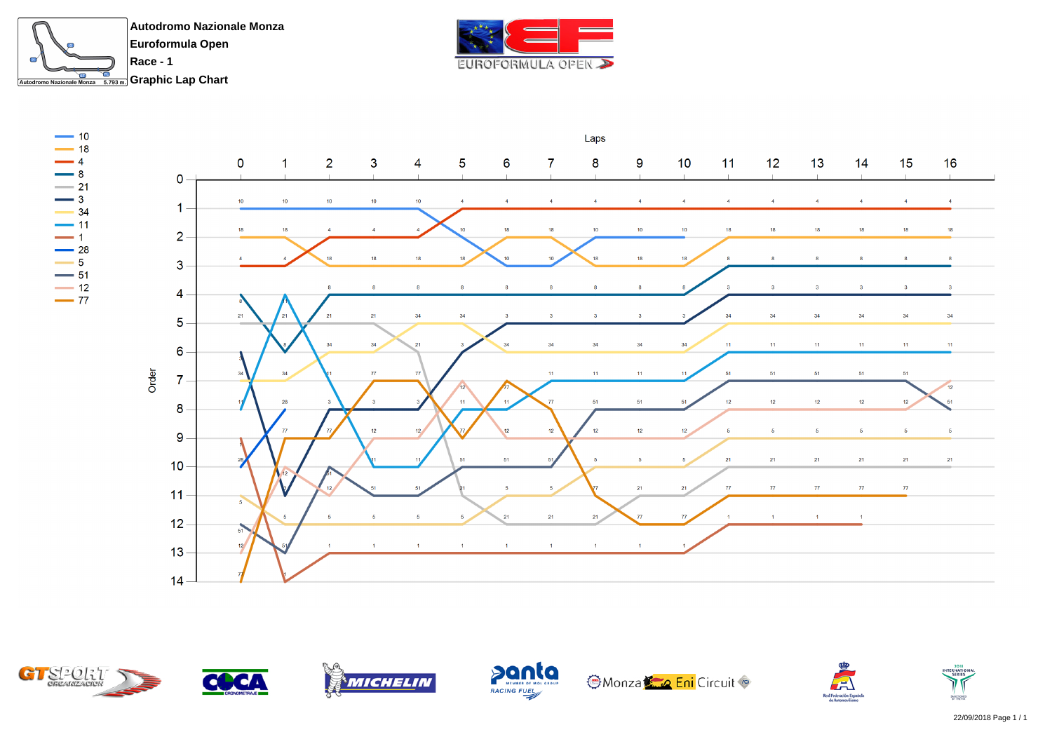![](_page_16_Picture_0.jpeg)

![](_page_16_Picture_1.jpeg)

![](_page_16_Figure_2.jpeg)

![](_page_16_Picture_3.jpeg)

![](_page_16_Picture_4.jpeg)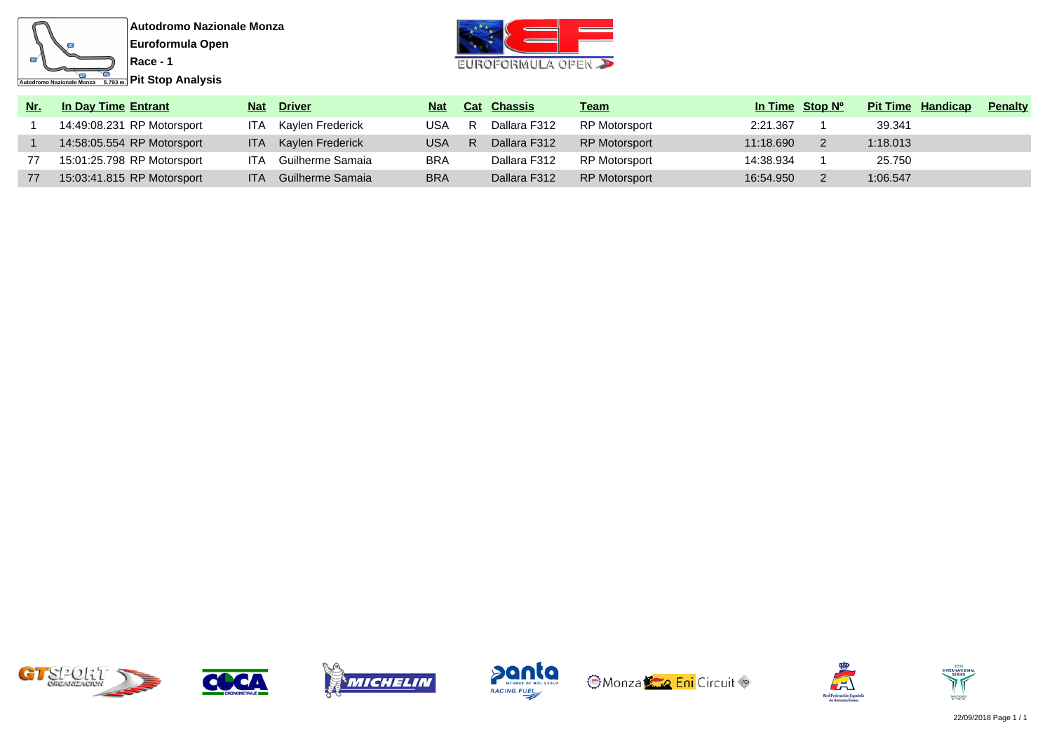![](_page_17_Figure_0.jpeg)

Autodromo Nazionale Monza 5.793 m. **Pit Stop Analysis** 

![](_page_17_Picture_3.jpeg)

| Nr. | In Day Time Entrant        | <b>Nat</b> | <b>Driver</b>        | <b>Nat</b> | <b>Cat Chassis</b> | <u>Team</u>          | In Time Stop N <sup>o</sup> | <b>Pit Time Handicap</b> | <b>Penalty</b> |
|-----|----------------------------|------------|----------------------|------------|--------------------|----------------------|-----------------------------|--------------------------|----------------|
|     | 14:49:08.231 RP Motorsport | ITA.       | Kaylen Frederick     | USA        | Dallara F312       | RP Motorsport        | 2:21.367                    | 39.341                   |                |
|     | 14:58:05.554 RP Motorsport |            | ITA Kaylen Frederick | <b>USA</b> | Dallara F312       | <b>RP Motorsport</b> | 11:18.690                   | 1:18.013                 |                |
|     | 15:01:25.798 RP Motorsport | <b>ITA</b> | Guilherme Samaia     | <b>BRA</b> | Dallara F312       | RP Motorsport        | 14:38.934                   | 25.750                   |                |
| 77  | 15:03:41.815 RP Motorsport | ITA.       | Guilherme Samaia     | <b>BRA</b> | Dallara F312       | <b>RP Motorsport</b> | 16:54.950                   | 1:06.547                 |                |

![](_page_17_Picture_5.jpeg)

![](_page_17_Picture_6.jpeg)

![](_page_17_Picture_7.jpeg)

![](_page_17_Picture_8.jpeg)

![](_page_17_Picture_9.jpeg)

![](_page_17_Picture_10.jpeg)

![](_page_17_Picture_11.jpeg)